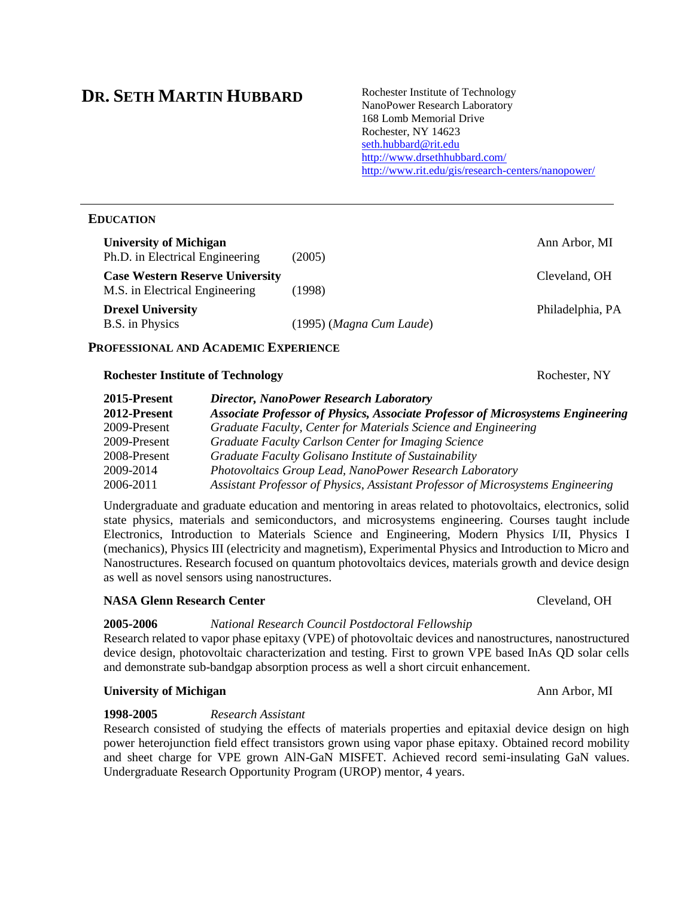# **DR. SETH MARTIN HUBBARD**

Rochester Institute of Technology NanoPower Research Laboratory 168 Lomb Memorial Drive Rochester, NY 14623 [seth.hubbard@rit.edu](mailto:seth.hubbard@rit.edu) <http://www.drsethhubbard.com/> <http://www.rit.edu/gis/research-centers/nanopower/>

# **EDUCATION**

| <b>University of Michigan</b><br>Ph.D. in Electrical Engineering         | (2005)                   | Ann Arbor, MI    |
|--------------------------------------------------------------------------|--------------------------|------------------|
| <b>Case Western Reserve University</b><br>M.S. in Electrical Engineering | (1998)                   | Cleveland, OH    |
| <b>Drexel University</b><br>B.S. in Physics                              | (1995) (Magna Cum Laude) | Philadelphia, PA |

# **PROFESSIONAL AND ACADEMIC EXPERIENCE**

### **Rochester Institute of Technology Rochester, NY** Rochester, NY

| 2015-Present | <b>Director, NanoPower Research Laboratory</b>                                         |
|--------------|----------------------------------------------------------------------------------------|
| 2012-Present | <b>Associate Professor of Physics, Associate Professor of Microsystems Engineering</b> |
| 2009-Present | Graduate Faculty, Center for Materials Science and Engineering                         |
| 2009-Present | Graduate Faculty Carlson Center for Imaging Science                                    |
| 2008-Present | Graduate Faculty Golisano Institute of Sustainability                                  |
| 2009-2014    | <b>Photovoltaics Group Lead, NanoPower Research Laboratory</b>                         |
| 2006-2011    | Assistant Professor of Physics, Assistant Professor of Microsystems Engineering        |

Undergraduate and graduate education and mentoring in areas related to photovoltaics, electronics, solid state physics, materials and semiconductors, and microsystems engineering. Courses taught include Electronics, Introduction to Materials Science and Engineering, Modern Physics I/II, Physics I (mechanics), Physics III (electricity and magnetism), Experimental Physics and Introduction to Micro and Nanostructures. Research focused on quantum photovoltaics devices, materials growth and device design as well as novel sensors using nanostructures.

# **NASA Glenn Research Center Contract Center** *Cleveland***, OH**

# **2005-2006** *National Research Council Postdoctoral Fellowship*

Research related to vapor phase epitaxy (VPE) of photovoltaic devices and nanostructures, nanostructured device design, photovoltaic characterization and testing. First to grown VPE based InAs QD solar cells and demonstrate sub-bandgap absorption process as well a short circuit enhancement.

# **University of Michigan Ann Arbor, MI Ann Arbor, MI Ann Arbor, MI**

# **1998-2005** *Research Assistant*

Research consisted of studying the effects of materials properties and epitaxial device design on high power heterojunction field effect transistors grown using vapor phase epitaxy. Obtained record mobility and sheet charge for VPE grown AlN-GaN MISFET. Achieved record semi-insulating GaN values. Undergraduate Research Opportunity Program (UROP) mentor, 4 years.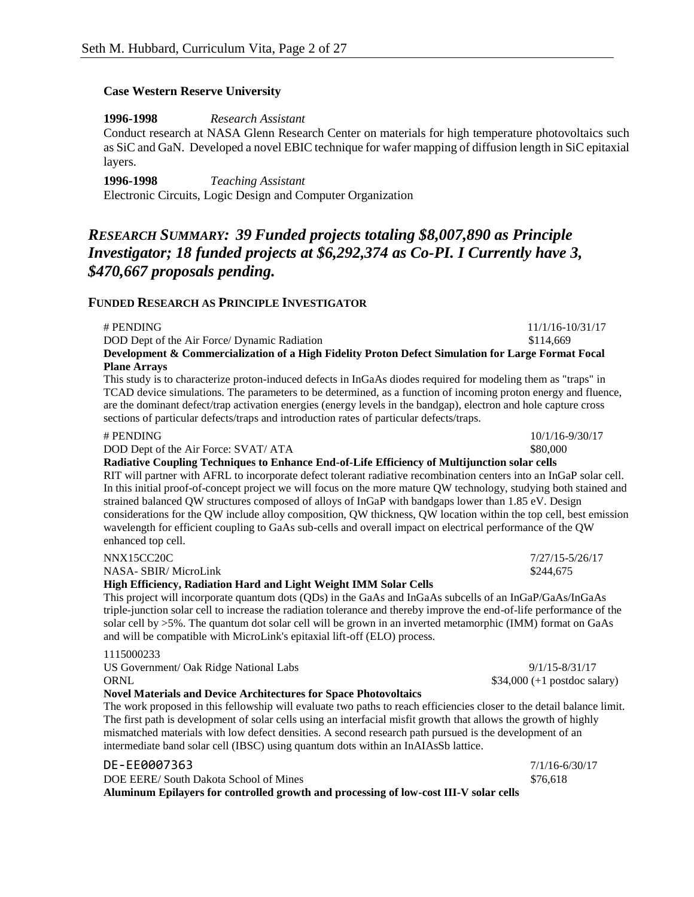### **Case Western Reserve University**

**1996-1998** *Research Assistant*

Conduct research at NASA Glenn Research Center on materials for high temperature photovoltaics such as SiC and GaN. Developed a novel EBIC technique for wafer mapping of diffusion length in SiC epitaxial layers.

**1996-1998** *Teaching Assistant* Electronic Circuits, Logic Design and Computer Organization

# *RESEARCH SUMMARY: 39 Funded projects totaling \$8,007,890 as Principle Investigator; 18 funded projects at \$6,292,374 as Co-PI. I Currently have 3, \$470,667 proposals pending.*

# **FUNDED RESEARCH AS PRINCIPLE INVESTIGATOR**

| # PENDING                                                                                          | 11/1/16-10/31/17 |
|----------------------------------------------------------------------------------------------------|------------------|
| DOD Dept of the Air Force/ Dynamic Radiation                                                       | \$114,669        |
| Development & Commercialization of a High Fidelity Proton Defect Simulation for Large Format Focal |                  |
| <b>Plane Arrays</b>                                                                                |                  |
|                                                                                                    |                  |

This study is to characterize proton-induced defects in InGaAs diodes required for modeling them as "traps" in TCAD device simulations. The parameters to be determined, as a function of incoming proton energy and fluence, are the dominant defect/trap activation energies (energy levels in the bandgap), electron and hole capture cross sections of particular defects/traps and introduction rates of particular defects/traps.

### # PENDING 10/1/16-9/30/17

DOD Dept of the Air Force: SVAT/ ATA \$80,000

**Radiative Coupling Techniques to Enhance End-of-Life Efficiency of Multijunction solar cells** 

RIT will partner with AFRL to incorporate defect tolerant radiative recombination centers into an InGaP solar cell. In this initial proof-of-concept project we will focus on the more mature QW technology, studying both stained and strained balanced QW structures composed of alloys of InGaP with bandgaps lower than 1.85 eV. Design considerations for the QW include alloy composition, QW thickness, QW location within the top cell, best emission wavelength for efficient coupling to GaAs sub-cells and overall impact on electrical performance of the QW enhanced top cell.

|  | NNX15CC20C |  |  |
|--|------------|--|--|
|  |            |  |  |

NASA- SBIR/ MicroLink  $$244.675$ 

### **High Efficiency, Radiation Hard and Light Weight IMM Solar Cells**

This project will incorporate quantum dots (QDs) in the GaAs and InGaAs subcells of an InGaP/GaAs/InGaAs triple-junction solar cell to increase the radiation tolerance and thereby improve the end-of-life performance of the solar cell by >5%. The quantum dot solar cell will be grown in an inverted metamorphic (IMM) format on GaAs and will be compatible with MicroLink's epitaxial lift-off (ELO) process.

### 1115000233

US Government/ Oak Ridge National Labs 9/1/15-8/31/17 ORNL \$34,000 (+1 postdoc salary) **Novel Materials and Device Architectures for Space Photovoltaics**

The work proposed in this fellowship will evaluate two paths to reach efficiencies closer to the detail balance limit. The first path is development of solar cells using an interfacial misfit growth that allows the growth of highly mismatched materials with low defect densities. A second research path pursued is the development of an intermediate band solar cell (IBSC) using quantum dots within an InAIAsSb lattice.

| Aluminum Epilayers for controlled growth and processing of low-cost III-V solar cells |                |
|---------------------------------------------------------------------------------------|----------------|
| DOE EERE/South Dakota School of Mines                                                 | \$76.618       |
| DE-EE0007363                                                                          | 7/1/16-6/30/17 |

7/27/15-5/26/17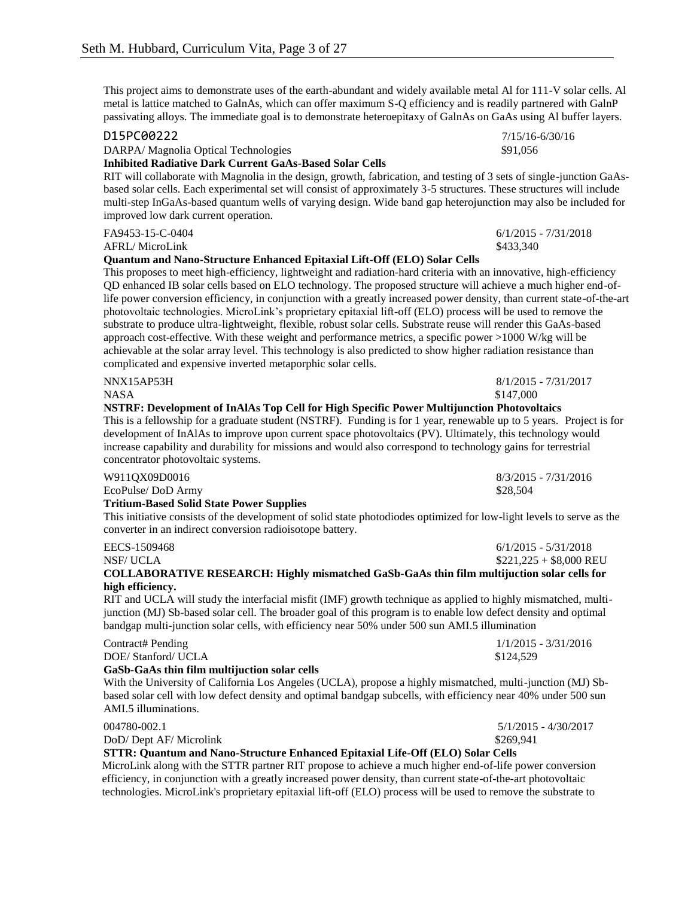This project aims to demonstrate uses of the earth-abundant and widely available metal Al for 111-V solar cells. Al metal is lattice matched to GalnAs, which can offer maximum S-Q efficiency and is readily partnered with GalnP passivating alloys. The immediate goal is to demonstrate heteroepitaxy of GalnAs on GaAs using Al buffer layers.

| D15PC00222                                                                                                                                                                                                                                                                                                                                                                                                                                                                                                                                                                                                                                                                                                                                                                                                                                                                                          | $7/15/16 - 6/30/16$     |
|-----------------------------------------------------------------------------------------------------------------------------------------------------------------------------------------------------------------------------------------------------------------------------------------------------------------------------------------------------------------------------------------------------------------------------------------------------------------------------------------------------------------------------------------------------------------------------------------------------------------------------------------------------------------------------------------------------------------------------------------------------------------------------------------------------------------------------------------------------------------------------------------------------|-------------------------|
| DARPA/ Magnolia Optical Technologies                                                                                                                                                                                                                                                                                                                                                                                                                                                                                                                                                                                                                                                                                                                                                                                                                                                                | \$91,056                |
| <b>Inhibited Radiative Dark Current GaAs-Based Solar Cells</b>                                                                                                                                                                                                                                                                                                                                                                                                                                                                                                                                                                                                                                                                                                                                                                                                                                      |                         |
| RIT will collaborate with Magnolia in the design, growth, fabrication, and testing of 3 sets of single-junction GaAs-<br>based solar cells. Each experimental set will consist of approximately 3-5 structures. These structures will include<br>multi-step InGaAs-based quantum wells of varying design. Wide band gap heterojunction may also be included for<br>improved low dark current operation.                                                                                                                                                                                                                                                                                                                                                                                                                                                                                             |                         |
| FA9453-15-C-0404                                                                                                                                                                                                                                                                                                                                                                                                                                                                                                                                                                                                                                                                                                                                                                                                                                                                                    | $6/1/2015 - 7/31/2018$  |
| <b>AFRL/MicroLink</b>                                                                                                                                                                                                                                                                                                                                                                                                                                                                                                                                                                                                                                                                                                                                                                                                                                                                               | \$433,340               |
| Quantum and Nano-Structure Enhanced Epitaxial Lift-Off (ELO) Solar Cells                                                                                                                                                                                                                                                                                                                                                                                                                                                                                                                                                                                                                                                                                                                                                                                                                            |                         |
| This proposes to meet high-efficiency, lightweight and radiation-hard criteria with an innovative, high-efficiency<br>QD enhanced IB solar cells based on ELO technology. The proposed structure will achieve a much higher end-of-<br>life power conversion efficiency, in conjunction with a greatly increased power density, than current state-of-the-art<br>photovoltaic technologies. MicroLink's proprietary epitaxial lift-off (ELO) process will be used to remove the<br>substrate to produce ultra-lightweight, flexible, robust solar cells. Substrate reuse will render this GaAs-based<br>approach cost-effective. With these weight and performance metrics, a specific power $>1000$ W/kg will be<br>achievable at the solar array level. This technology is also predicted to show higher radiation resistance than<br>complicated and expensive inverted metaporphic solar cells. |                         |
| NNX15AP53H                                                                                                                                                                                                                                                                                                                                                                                                                                                                                                                                                                                                                                                                                                                                                                                                                                                                                          | $8/1/2015 - 7/31/2017$  |
| <b>NASA</b>                                                                                                                                                                                                                                                                                                                                                                                                                                                                                                                                                                                                                                                                                                                                                                                                                                                                                         | \$147,000               |
| NSTRF: Development of InAlAs Top Cell for High Specific Power Multijunction Photovoltaics<br>This is a fellowship for a graduate student (NSTRF). Funding is for 1 year, renewable up to 5 years. Project is for<br>development of InAlAs to improve upon current space photovoltaics (PV). Ultimately, this technology would<br>increase capability and durability for missions and would also correspond to technology gains for terrestrial<br>concentrator photovoltaic systems.                                                                                                                                                                                                                                                                                                                                                                                                                |                         |
| W911QX09D0016                                                                                                                                                                                                                                                                                                                                                                                                                                                                                                                                                                                                                                                                                                                                                                                                                                                                                       | $8/3/2015 - 7/31/2016$  |
| EcoPulse/DoD Army                                                                                                                                                                                                                                                                                                                                                                                                                                                                                                                                                                                                                                                                                                                                                                                                                                                                                   | \$28,504                |
| <b>Tritium-Based Solid State Power Supplies</b><br>This initiative consists of the development of solid state photodiodes optimized for low-light levels to serve as the<br>converter in an indirect conversion radioisotope battery.                                                                                                                                                                                                                                                                                                                                                                                                                                                                                                                                                                                                                                                               |                         |
| EECS-1509468                                                                                                                                                                                                                                                                                                                                                                                                                                                                                                                                                                                                                                                                                                                                                                                                                                                                                        | $6/1/2015 - 5/31/2018$  |
| <b>NSF/UCLA</b>                                                                                                                                                                                                                                                                                                                                                                                                                                                                                                                                                                                                                                                                                                                                                                                                                                                                                     | $$221,225 + $8,000$ REU |
| COLLABORATIVE RESEARCH: Highly mismatched GaSb-GaAs thin film multijuction solar cells for                                                                                                                                                                                                                                                                                                                                                                                                                                                                                                                                                                                                                                                                                                                                                                                                          |                         |
| high efficiency.                                                                                                                                                                                                                                                                                                                                                                                                                                                                                                                                                                                                                                                                                                                                                                                                                                                                                    |                         |
| RIT and UCLA will study the interfacial misfit (IMF) growth technique as applied to highly mismatched, multi-<br>junction (MJ) Sb-based solar cell. The broader goal of this program is to enable low defect density and optimal<br>bandgap multi-junction solar cells, with efficiency near 50% under 500 sun AMI.5 illumination                                                                                                                                                                                                                                                                                                                                                                                                                                                                                                                                                                   |                         |
| Contract# Pending                                                                                                                                                                                                                                                                                                                                                                                                                                                                                                                                                                                                                                                                                                                                                                                                                                                                                   | $1/1/2015 - 3/31/2016$  |

DOE/ Stanford/ UCLA \$124,529

# **GaSb-GaAs thin film multijuction solar cells**

With the University of California Los Angeles (UCLA), propose a highly mismatched, multi-junction (MJ) Sbbased solar cell with low defect density and optimal bandgap subcells, with efficiency near 40% under 500 sun AMI.5 illuminations.

DoD/ Dept AF/ Microlink \$269,941

004780-002.1 5/1/2015 - 4/30/2017

### **STTR: Quantum and Nano-Structure Enhanced Epitaxial Life-Off (ELO) Solar Cells**

MicroLink along with the STTR partner RIT propose to achieve a much higher end-of-life power conversion efficiency, in conjunction with a greatly increased power density, than current state-of-the-art photovoltaic technologies. MicroLink's proprietary epitaxial lift-off (ELO) process will be used to remove the substrate to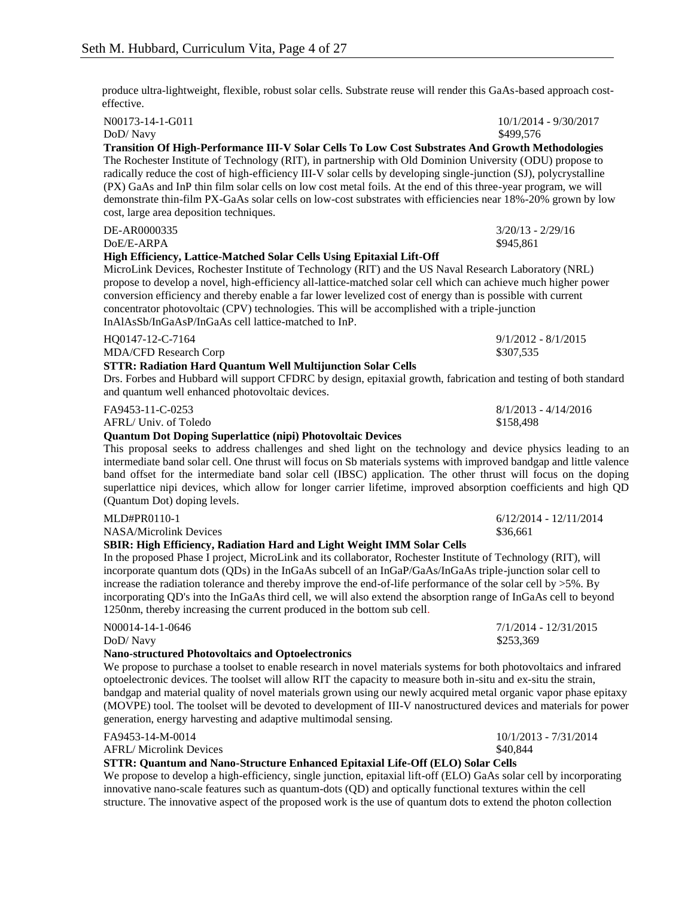produce ultra-lightweight, flexible, robust solar cells. Substrate reuse will render this GaAs-based approach costeffective.

N00173-14-1-G011 10/1/2014 - 9/30/2017 DoD/Navy \$499,576 **Transition Of High-Performance III-V Solar Cells To Low Cost Substrates And Growth Methodologies** The Rochester Institute of Technology (RIT), in partnership with Old Dominion University (ODU) propose to radically reduce the cost of high-efficiency III-V solar cells by developing single-junction (SJ), polycrystalline (PX) GaAs and InP thin film solar cells on low cost metal foils. At the end of this three-year program, we will demonstrate thin-film PX-GaAs solar cells on low-cost substrates with efficiencies near 18%-20% grown by low cost, large area deposition techniques. DE-AR0000335 3/20/13 - 2/29/16 DoE/E-ARPA \$945,861 **High Efficiency, Lattice-Matched Solar Cells Using Epitaxial Lift-Off** MicroLink Devices, Rochester Institute of Technology (RIT) and the US Naval Research Laboratory (NRL) propose to develop a novel, high-efficiency all-lattice-matched solar cell which can achieve much higher power conversion efficiency and thereby enable a far lower levelized cost of energy than is possible with current concentrator photovoltaic (CPV) technologies. This will be accomplished with a triple-junction InAlAsSb/InGaAsP/InGaAs cell lattice-matched to InP. HQ0147-12-C-7164 9/1/2012 - 8/1/2015 MDA/CFD Research Corp \$307,535 **STTR: Radiation Hard Quantum Well Multijunction Solar Cells** Drs. Forbes and Hubbard will support CFDRC by design, epitaxial growth, fabrication and testing of both standard and quantum well enhanced photovoltaic devices. FA9453-11-C-0253 8/1/2013 - 4/14/2016 AFRL/ Univ. of Toledo \$158,498 **Quantum Dot Doping Superlattice (nipi) Photovoltaic Devices** This proposal seeks to address challenges and shed light on the technology and device physics leading to an intermediate band solar cell. One thrust will focus on Sb materials systems with improved bandgap and little valence band offset for the intermediate band solar cell (IBSC) application. The other thrust will focus on the doping superlattice nipi devices, which allow for longer carrier lifetime, improved absorption coefficients and high QD (Quantum Dot) doping levels. MLD#PR0110-1 6/12/2014 - 12/11/2014 NASA/Microlink Devices \$36,661 **SBIR: High Efficiency, Radiation Hard and Light Weight IMM Solar Cells** In the proposed Phase I project, MicroLink and its collaborator, Rochester Institute of Technology (RIT), will incorporate quantum dots (QDs) in the InGaAs subcell of an InGaP/GaAs/InGaAs triple-junction solar cell to increase the radiation tolerance and thereby improve the end-of-life performance of the solar cell by >5%. By incorporating QD's into the InGaAs third cell, we will also extend the absorption range of InGaAs cell to beyond 1250nm, thereby increasing the current produced in the bottom sub cell. N00014-14-1-0646 7/1/2014 - 12/31/2015 DoD/ Navy \$253,369 **Nano-structured Photovoltaics and Optoelectronics** We propose to purchase a toolset to enable research in novel materials systems for both photovoltaics and infrared optoelectronic devices. The toolset will allow RIT the capacity to measure both in-situ and ex-situ the strain,

bandgap and material quality of novel materials grown using our newly acquired metal organic vapor phase epitaxy (MOVPE) tool. The toolset will be devoted to development of III-V nanostructured devices and materials for power generation, energy harvesting and adaptive multimodal sensing.

### FA9453-14-M-0014 10/1/2013 - 7/31/2014

AFRL/Microlink Devices  $$40.844$ 

#### **STTR: Quantum and Nano-Structure Enhanced Epitaxial Life-Off (ELO) Solar Cells**

We propose to develop a high-efficiency, single junction, epitaxial lift-off (ELO) GaAs solar cell by incorporating innovative nano-scale features such as quantum-dots (QD) and optically functional textures within the cell structure. The innovative aspect of the proposed work is the use of quantum dots to extend the photon collection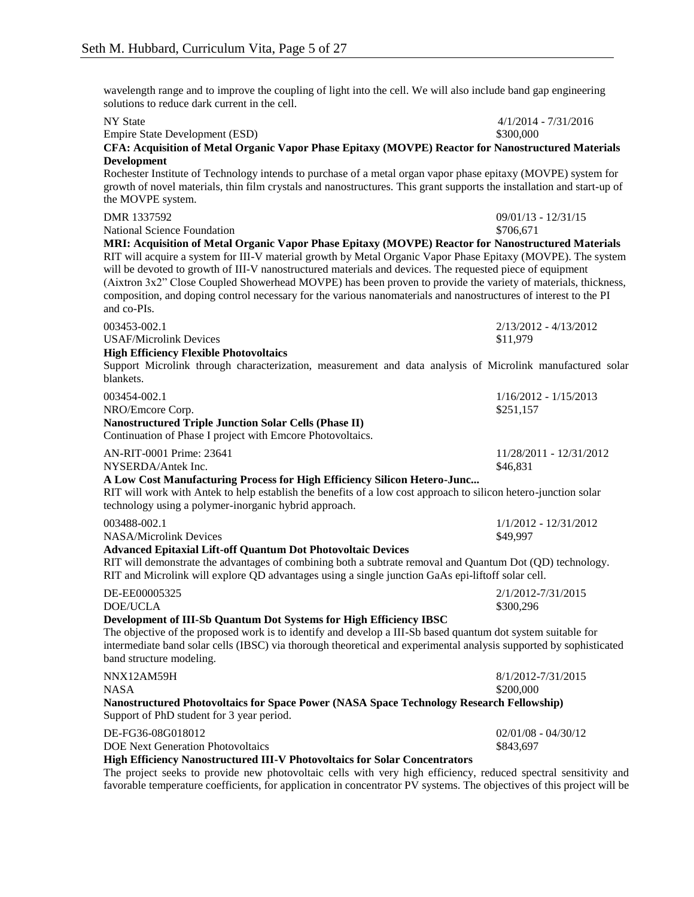wavelength range and to improve the coupling of light into the cell. We will also include band gap engineering solutions to reduce dark current in the cell.

| <b>NY</b> State                                                                                                                                                                                                    | $4/1/2014 - 7/31/2016$  |
|--------------------------------------------------------------------------------------------------------------------------------------------------------------------------------------------------------------------|-------------------------|
| <b>Empire State Development (ESD)</b>                                                                                                                                                                              | \$300,000               |
| CFA: Acquisition of Metal Organic Vapor Phase Epitaxy (MOVPE) Reactor for Nanostructured Materials                                                                                                                 |                         |
| Development<br>Rochester Institute of Technology intends to purchase of a metal organ vapor phase epitaxy (MOVPE) system for                                                                                       |                         |
| growth of novel materials, thin film crystals and nanostructures. This grant supports the installation and start-up of                                                                                             |                         |
| the MOVPE system.                                                                                                                                                                                                  |                         |
| DMR 1337592                                                                                                                                                                                                        | $09/01/13 - 12/31/15$   |
| National Science Foundation                                                                                                                                                                                        | \$706,671               |
| MRI: Acquisition of Metal Organic Vapor Phase Epitaxy (MOVPE) Reactor for Nanostructured Materials<br>RIT will acquire a system for III-V material growth by Metal Organic Vapor Phase Epitaxy (MOVPE). The system |                         |
| will be devoted to growth of III-V nanostructured materials and devices. The requested piece of equipment                                                                                                          |                         |
| (Aixtron 3x2" Close Coupled Showerhead MOVPE) has been proven to provide the variety of materials, thickness,                                                                                                      |                         |
| composition, and doping control necessary for the various nanomaterials and nanostructures of interest to the PI                                                                                                   |                         |
| and co-PIs.                                                                                                                                                                                                        |                         |
| 003453-002.1                                                                                                                                                                                                       | 2/13/2012 - 4/13/2012   |
| <b>USAF/Microlink Devices</b>                                                                                                                                                                                      | \$11,979                |
| <b>High Efficiency Flexible Photovoltaics</b>                                                                                                                                                                      |                         |
| Support Microlink through characterization, measurement and data analysis of Microlink manufactured solar<br>blankets.                                                                                             |                         |
| 003454-002.1                                                                                                                                                                                                       | $1/16/2012 - 1/15/2013$ |
| NRO/Emcore Corp.                                                                                                                                                                                                   | \$251,157               |
| <b>Nanostructured Triple Junction Solar Cells (Phase II)</b>                                                                                                                                                       |                         |
| Continuation of Phase I project with Emcore Photovoltaics.                                                                                                                                                         |                         |
| AN-RIT-0001 Prime: 23641                                                                                                                                                                                           | 11/28/2011 - 12/31/2012 |
| NYSERDA/Antek Inc.                                                                                                                                                                                                 | \$46,831                |
| A Low Cost Manufacturing Process for High Efficiency Silicon Hetero-Junc<br>RIT will work with Antek to help establish the benefits of a low cost approach to silicon hetero-junction solar                        |                         |
| technology using a polymer-inorganic hybrid approach.                                                                                                                                                              |                         |
| 003488-002.1                                                                                                                                                                                                       | 1/1/2012 - 12/31/2012   |
| <b>NASA/Microlink Devices</b>                                                                                                                                                                                      | \$49,997                |
| <b>Advanced Epitaxial Lift-off Quantum Dot Photovoltaic Devices</b>                                                                                                                                                |                         |
| RIT will demonstrate the advantages of combining both a subtrate removal and Quantum Dot (QD) technology.                                                                                                          |                         |
| RIT and Microlink will explore QD advantages using a single junction GaAs epi-liftoff solar cell.                                                                                                                  |                         |
| DE-EE00005325                                                                                                                                                                                                      | 2/1/2012-7/31/2015      |
| <b>DOE/UCLA</b>                                                                                                                                                                                                    | \$300,296               |
| Development of III-Sb Quantum Dot Systems for High Efficiency IBSC<br>The objective of the proposed work is to identify and develop a III-Sb based quantum dot system suitable for                                 |                         |
| intermediate band solar cells (IBSC) via thorough theoretical and experimental analysis supported by sophisticated                                                                                                 |                         |
| band structure modeling.                                                                                                                                                                                           |                         |
| NNX12AM59H                                                                                                                                                                                                         | 8/1/2012-7/31/2015      |
| <b>NASA</b>                                                                                                                                                                                                        | \$200,000               |
| Nanostructured Photovoltaics for Space Power (NASA Space Technology Research Fellowship)<br>Support of PhD student for 3 year period.                                                                              |                         |
| DE-FG36-08G018012                                                                                                                                                                                                  | $02/01/08 - 04/30/12$   |
| <b>DOE Next Generation Photovoltaics</b>                                                                                                                                                                           | \$843,697               |
| High Efficiency Nanostructured III-V Photovoltaics for Solar Concentrators                                                                                                                                         |                         |

The project seeks to provide new photovoltaic cells with very high efficiency, reduced spectral sensitivity and favorable temperature coefficients, for application in concentrator PV systems. The objectives of this project will be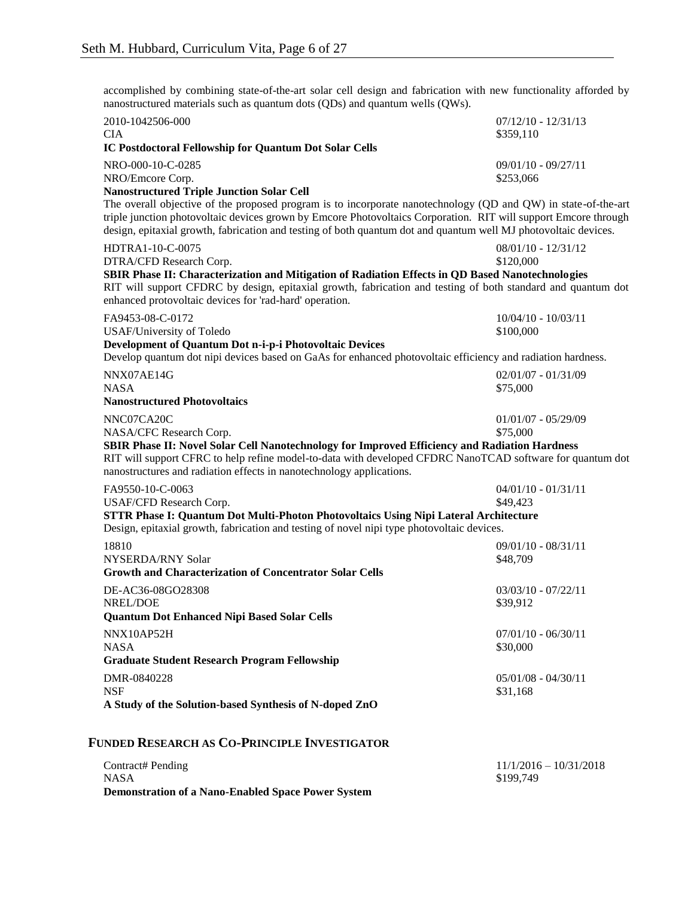accomplished by combining state-of-the-art solar cell design and fabrication with new functionality afforded by nanostructured materials such as quantum dots (QDs) and quantum wells (QWs).

| 2010-1042506-000<br><b>CIA</b>                                                                                                                                                                                                                                                                                                                       | $07/12/10 - 12/31/13$<br>\$359,110 |
|------------------------------------------------------------------------------------------------------------------------------------------------------------------------------------------------------------------------------------------------------------------------------------------------------------------------------------------------------|------------------------------------|
| <b>IC Postdoctoral Fellowship for Quantum Dot Solar Cells</b>                                                                                                                                                                                                                                                                                        |                                    |
| NRO-000-10-C-0285<br>NRO/Emcore Corp.<br><b>Nanostructured Triple Junction Solar Cell</b>                                                                                                                                                                                                                                                            | $09/01/10 - 09/27/11$<br>\$253,066 |
| The overall objective of the proposed program is to incorporate nanotechnology (QD and QW) in state-of-the-art<br>triple junction photovoltaic devices grown by Emcore Photovoltaics Corporation. RIT will support Emcore through<br>design, epitaxial growth, fabrication and testing of both quantum dot and quantum well MJ photovoltaic devices. |                                    |
| HDTRA1-10-C-0075<br>DTRA/CFD Research Corp.                                                                                                                                                                                                                                                                                                          | $08/01/10 - 12/31/12$<br>\$120,000 |
| SBIR Phase II: Characterization and Mitigation of Radiation Effects in QD Based Nanotechnologies<br>RIT will support CFDRC by design, epitaxial growth, fabrication and testing of both standard and quantum dot<br>enhanced protovoltaic devices for 'rad-hard' operation.                                                                          |                                    |
| FA9453-08-C-0172<br><b>USAF/University of Toledo</b>                                                                                                                                                                                                                                                                                                 | 10/04/10 - 10/03/11<br>\$100,000   |
| Development of Quantum Dot n-i-p-i Photovoltaic Devices                                                                                                                                                                                                                                                                                              |                                    |
| Develop quantum dot nipi devices based on GaAs for enhanced photovoltaic efficiency and radiation hardness.                                                                                                                                                                                                                                          |                                    |
| NNX07AE14G<br><b>NASA</b>                                                                                                                                                                                                                                                                                                                            | $02/01/07 - 01/31/09$<br>\$75,000  |
| <b>Nanostructured Photovoltaics</b>                                                                                                                                                                                                                                                                                                                  |                                    |
| NNC07CA20C<br>NASA/CFC Research Corp.                                                                                                                                                                                                                                                                                                                | $01/01/07 - 05/29/09$<br>\$75,000  |
| SBIR Phase II: Novel Solar Cell Nanotechnology for Improved Efficiency and Radiation Hardness<br>RIT will support CFRC to help refine model-to-data with developed CFDRC NanoTCAD software for quantum dot<br>nanostructures and radiation effects in nanotechnology applications.                                                                   |                                    |
| FA9550-10-C-0063                                                                                                                                                                                                                                                                                                                                     | $04/01/10 - 01/31/11$              |
| USAF/CFD Research Corp.                                                                                                                                                                                                                                                                                                                              | \$49,423                           |
| STTR Phase I: Quantum Dot Multi-Photon Photovoltaics Using Nipi Lateral Architecture<br>Design, epitaxial growth, fabrication and testing of novel nipi type photovoltaic devices.                                                                                                                                                                   |                                    |
| 18810                                                                                                                                                                                                                                                                                                                                                | 09/01/10 - 08/31/11                |
| NYSERDA/RNY Solar                                                                                                                                                                                                                                                                                                                                    | \$48,709                           |
| <b>Growth and Characterization of Concentrator Solar Cells</b>                                                                                                                                                                                                                                                                                       |                                    |
| DE-AC36-08GO28308<br><b>NREL/DOE</b>                                                                                                                                                                                                                                                                                                                 | $03/03/10 - 07/22/11$<br>\$39,912  |
| <b>Ouantum Dot Enhanced Nipi Based Solar Cells</b>                                                                                                                                                                                                                                                                                                   |                                    |
| NNX10AP52H                                                                                                                                                                                                                                                                                                                                           | $07/01/10 - 06/30/11$              |
| <b>NASA</b>                                                                                                                                                                                                                                                                                                                                          | \$30,000                           |
| <b>Graduate Student Research Program Fellowship</b>                                                                                                                                                                                                                                                                                                  |                                    |
| DMR-0840228<br><b>NSF</b>                                                                                                                                                                                                                                                                                                                            | $05/01/08 - 04/30/11$<br>\$31,168  |
| A Study of the Solution-based Synthesis of N-doped ZnO                                                                                                                                                                                                                                                                                               |                                    |
| <b>FUNDED RESEARCH AS CO-PRINCIPLE INVESTIGATOR</b>                                                                                                                                                                                                                                                                                                  |                                    |
| Contract# Pending                                                                                                                                                                                                                                                                                                                                    | $11/1/2016 - 10/31/2018$           |

NASA \$199,749 **Demonstration of a Nano-Enabled Space Power System**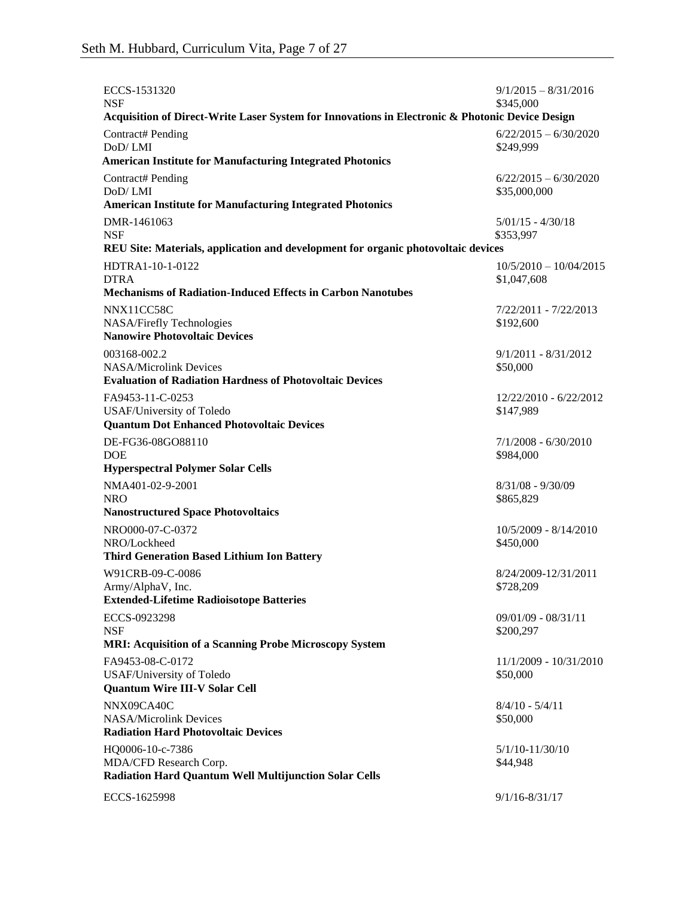| ECCS-1531320<br><b>NSF</b>                                                                                       | $9/1/2015 - 8/31/2016$<br>\$345,000     |
|------------------------------------------------------------------------------------------------------------------|-----------------------------------------|
| Acquisition of Direct-Write Laser System for Innovations in Electronic & Photonic Device Design                  |                                         |
| Contract# Pending<br>DoD/LMI<br><b>American Institute for Manufacturing Integrated Photonics</b>                 | $6/22/2015 - 6/30/2020$<br>\$249,999    |
| Contract# Pending<br>DoD/LMI                                                                                     | $6/22/2015 - 6/30/2020$<br>\$35,000,000 |
| <b>American Institute for Manufacturing Integrated Photonics</b>                                                 |                                         |
| DMR-1461063<br><b>NSF</b>                                                                                        | $5/01/15 - 4/30/18$<br>\$353,997        |
| REU Site: Materials, application and development for organic photovoltaic devices                                |                                         |
| HDTRA1-10-1-0122<br><b>DTRA</b>                                                                                  | $10/5/2010 - 10/04/2015$<br>\$1,047,608 |
| <b>Mechanisms of Radiation-Induced Effects in Carbon Nanotubes</b>                                               |                                         |
| NNX11CC58C<br>NASA/Firefly Technologies<br><b>Nanowire Photovoltaic Devices</b>                                  | 7/22/2011 - 7/22/2013<br>\$192,600      |
| 003168-002.2<br><b>NASA/Microlink Devices</b><br><b>Evaluation of Radiation Hardness of Photovoltaic Devices</b> | $9/1/2011 - 8/31/2012$<br>\$50,000      |
| FA9453-11-C-0253<br>USAF/University of Toledo<br><b>Quantum Dot Enhanced Photovoltaic Devices</b>                | 12/22/2010 - 6/22/2012<br>\$147,989     |
| DE-FG36-08GO88110<br><b>DOE</b>                                                                                  | $7/1/2008 - 6/30/2010$<br>\$984,000     |
| <b>Hyperspectral Polymer Solar Cells</b>                                                                         |                                         |
| NMA401-02-9-2001<br><b>NRO</b>                                                                                   | $8/31/08 - 9/30/09$<br>\$865,829        |
| <b>Nanostructured Space Photovoltaics</b>                                                                        |                                         |
| NRO000-07-C-0372<br>NRO/Lockheed                                                                                 | 10/5/2009 - 8/14/2010<br>\$450,000      |
| <b>Third Generation Based Lithium Ion Battery</b>                                                                |                                         |
| W91CRB-09-C-0086<br>Army/AlphaV, Inc.<br><b>Extended-Lifetime Radioisotope Batteries</b>                         | 8/24/2009-12/31/2011<br>\$728,209       |
| ECCS-0923298<br><b>NSF</b>                                                                                       | $09/01/09 - 08/31/11$<br>\$200,297      |
| <b>MRI: Acquisition of a Scanning Probe Microscopy System</b>                                                    |                                         |
| FA9453-08-C-0172<br>USAF/University of Toledo<br><b>Quantum Wire III-V Solar Cell</b>                            | 11/1/2009 - 10/31/2010<br>\$50,000      |
|                                                                                                                  | $8/4/10 - 5/4/11$                       |
| NNX09CA40C<br><b>NASA/Microlink Devices</b><br><b>Radiation Hard Photovoltaic Devices</b>                        | \$50,000                                |
| HQ0006-10-c-7386<br>MDA/CFD Research Corp.                                                                       | $5/1/10 - 11/30/10$<br>\$44,948         |
| Radiation Hard Quantum Well Multijunction Solar Cells                                                            |                                         |
| ECCS-1625998                                                                                                     | $9/1/16 - 8/31/17$                      |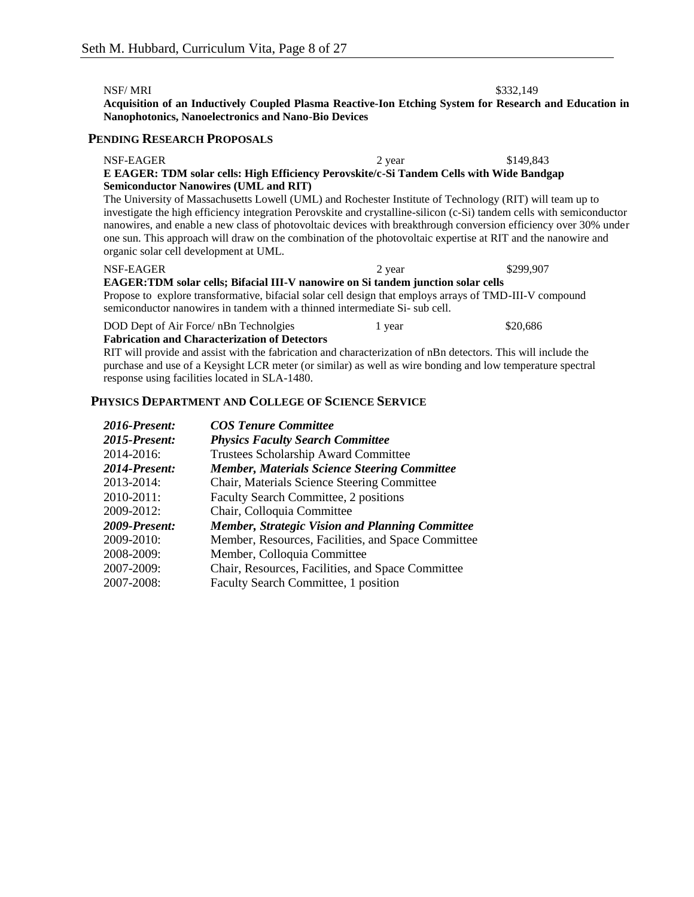NSF/ MRI \$332,149

**Acquisition of an Inductively Coupled Plasma Reactive-Ion Etching System for Research and Education in Nanophotonics, Nanoelectronics and Nano-Bio Devices**

# **PENDING RESEARCH PROPOSALS**

| NSF-EAGER<br>E EAGER: TDM solar cells: High Efficiency Perovskite/c-Si Tandem Cells with Wide Bandgap                                                                                                                                                                                                                                                                                                | 2 year | \$149,843 |
|------------------------------------------------------------------------------------------------------------------------------------------------------------------------------------------------------------------------------------------------------------------------------------------------------------------------------------------------------------------------------------------------------|--------|-----------|
| <b>Semiconductor Nanowires (UML and RIT)</b><br>The University of Massachusetts Lowell (UML) and Rochester Institute of Technology (RIT) will team up to                                                                                                                                                                                                                                             |        |           |
| investigate the high efficiency integration Perovskite and crystalline-silicon (c-Si) tandem cells with semiconductor<br>nanowires, and enable a new class of photovoltaic devices with breakthrough conversion efficiency over 30% under<br>one sun. This approach will draw on the combination of the photovoltaic expertise at RIT and the nanowire and<br>organic solar cell development at UML. |        |           |
| NSF-EAGER                                                                                                                                                                                                                                                                                                                                                                                            | 2 year | \$299,907 |
| <b>EAGER: TDM solar cells; Bifacial III-V nanowire on Si tandem junction solar cells</b><br>Propose to explore transformative, bifacial solar cell design that employs arrays of TMD-III-V compound<br>semiconductor nanowires in tandem with a thinned intermediate Si- sub cell.                                                                                                                   |        |           |
| DOD Dept of Air Force/ nBn Technolgies<br><b>Fabrication and Characterization of Detectors</b>                                                                                                                                                                                                                                                                                                       | 1 year | \$20,686  |

RIT will provide and assist with the fabrication and characterization of nBn detectors. This will include the purchase and use of a Keysight LCR meter (or similar) as well as wire bonding and low temperature spectral response using facilities located in SLA-1480.

### **PHYSICS DEPARTMENT AND COLLEGE OF SCIENCE SERVICE**

| 2016-Present:        | <b>COS Tenure Committee</b>                            |
|----------------------|--------------------------------------------------------|
| 2015-Present:        | <b>Physics Faculty Search Committee</b>                |
| 2014-2016:           | <b>Trustees Scholarship Award Committee</b>            |
| 2014-Present:        | <b>Member, Materials Science Steering Committee</b>    |
| 2013-2014:           | Chair, Materials Science Steering Committee            |
| 2010-2011:           | <b>Faculty Search Committee, 2 positions</b>           |
| 2009-2012:           | Chair, Colloquia Committee                             |
| <b>2009-Present:</b> | <b>Member, Strategic Vision and Planning Committee</b> |
| 2009-2010:           | Member, Resources, Facilities, and Space Committee     |
| 2008-2009:           | Member, Colloquia Committee                            |
| 2007-2009:           | Chair, Resources, Facilities, and Space Committee      |
| 2007-2008:           | Faculty Search Committee, 1 position                   |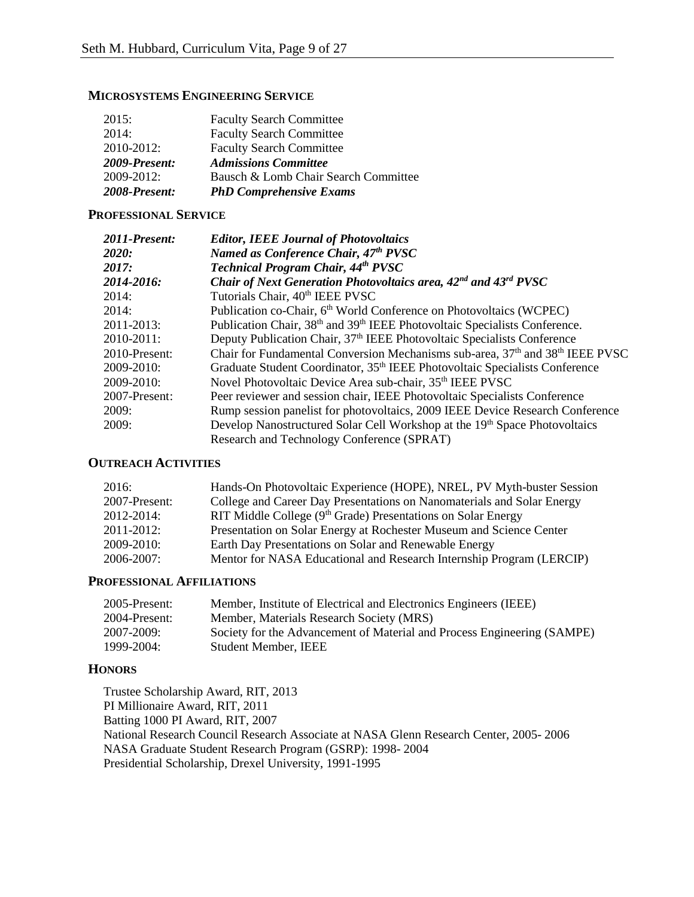# **MICROSYSTEMS ENGINEERING SERVICE**

| 2008-Present: | <b>PhD Comprehensive Exams</b>       |
|---------------|--------------------------------------|
| 2009-2012:    | Bausch & Lomb Chair Search Committee |
| 2009-Present: | <b>Admissions Committee</b>          |
| 2010-2012:    | <b>Faculty Search Committee</b>      |
| 2014:         | <b>Faculty Search Committee</b>      |
| 2015:         | <b>Faculty Search Committee</b>      |

# **PROFESSIONAL SERVICE**

| 2011-Present: | <b>Editor, IEEE Journal of Photovoltaics</b>                                                          |
|---------------|-------------------------------------------------------------------------------------------------------|
| <b>2020:</b>  | Named as Conference Chair, 47th PVSC                                                                  |
| 2017:         | Technical Program Chair, 44th PVSC                                                                    |
| 2014-2016:    | Chair of Next Generation Photovoltaics area, $42^{nd}$ and $43^{rd}$ PVSC                             |
| 2014:         | Tutorials Chair, 40 <sup>th</sup> IEEE PVSC                                                           |
| 2014:         | Publication co-Chair, 6 <sup>th</sup> World Conference on Photovoltaics (WCPEC)                       |
| 2011-2013:    | Publication Chair, 38 <sup>th</sup> and 39 <sup>th</sup> IEEE Photovoltaic Specialists Conference.    |
| 2010-2011:    | Deputy Publication Chair, 37 <sup>th</sup> IEEE Photovoltaic Specialists Conference                   |
| 2010-Present: | Chair for Fundamental Conversion Mechanisms sub-area, 37 <sup>th</sup> and 38 <sup>th</sup> IEEE PVSC |
| 2009-2010:    | Graduate Student Coordinator, 35 <sup>th</sup> IEEE Photovoltaic Specialists Conference               |
| 2009-2010:    | Novel Photovoltaic Device Area sub-chair, 35 <sup>th</sup> IEEE PVSC                                  |
| 2007-Present: | Peer reviewer and session chair, IEEE Photovoltaic Specialists Conference                             |
| 2009:         | Rump session panelist for photovoltaics, 2009 IEEE Device Research Conference                         |
| 2009:         | Develop Nanostructured Solar Cell Workshop at the 19th Space Photovoltaics                            |
|               | Research and Technology Conference (SPRAT)                                                            |

# **OUTREACH ACTIVITIES**

| 2016:         | Hands-On Photovoltaic Experience (HOPE), NREL, PV Myth-buster Session    |
|---------------|--------------------------------------------------------------------------|
| 2007-Present: | College and Career Day Presentations on Nanomaterials and Solar Energy   |
| 2012-2014:    | RIT Middle College (9 <sup>th</sup> Grade) Presentations on Solar Energy |
| 2011-2012:    | Presentation on Solar Energy at Rochester Museum and Science Center      |
| 2009-2010:    | Earth Day Presentations on Solar and Renewable Energy                    |
| 2006-2007:    | Mentor for NASA Educational and Research Internship Program (LERCIP)     |
|               |                                                                          |

# **PROFESSIONAL AFFILIATIONS**

| 2005-Present: | Member, Institute of Electrical and Electronics Engineers (IEEE)        |
|---------------|-------------------------------------------------------------------------|
| 2004-Present: | Member, Materials Research Society (MRS)                                |
| 2007-2009:    | Society for the Advancement of Material and Process Engineering (SAMPE) |
| 1999-2004:    | <b>Student Member, IEEE</b>                                             |

# **HONORS**

Trustee Scholarship Award, RIT, 2013 PI Millionaire Award, RIT, 2011 Batting 1000 PI Award, RIT, 2007 National Research Council Research Associate at NASA Glenn Research Center, 2005- 2006 NASA Graduate Student Research Program (GSRP): 1998- 2004 Presidential Scholarship, Drexel University, 1991-1995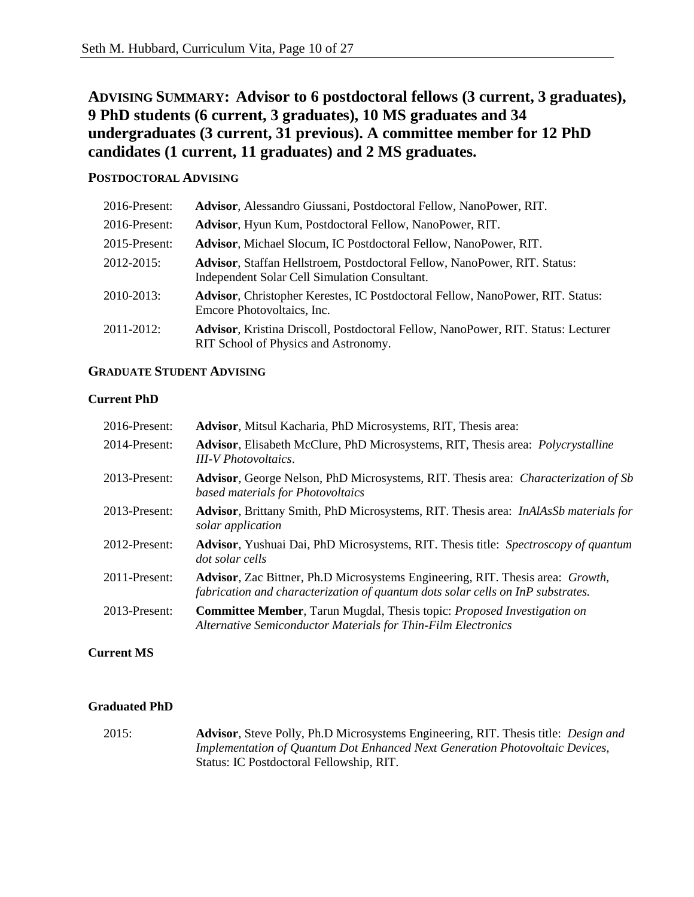# **ADVISING SUMMARY: Advisor to 6 postdoctoral fellows (3 current, 3 graduates), 9 PhD students (6 current, 3 graduates), 10 MS graduates and 34 undergraduates (3 current, 31 previous). A committee member for 12 PhD candidates (1 current, 11 graduates) and 2 MS graduates.**

# **POSTDOCTORAL ADVISING**

| 2016-Present: | Advisor, Alessandro Giussani, Postdoctoral Fellow, NanoPower, RIT.                                                                |
|---------------|-----------------------------------------------------------------------------------------------------------------------------------|
| 2016-Present: | Advisor, Hyun Kum, Postdoctoral Fellow, NanoPower, RIT.                                                                           |
| 2015-Present: | Advisor, Michael Slocum, IC Postdoctoral Fellow, NanoPower, RIT.                                                                  |
| $2012 - 2015$ | <b>Advisor, Staffan Hellstroem, Postdoctoral Fellow, NanoPower, RIT. Status:</b><br>Independent Solar Cell Simulation Consultant. |
| 2010-2013:    | <b>Advisor, Christopher Kerestes, IC Postdoctoral Fellow, NanoPower, RIT. Status:</b><br>Emcore Photovoltaics, Inc.               |
| $2011 - 2012$ | <b>Advisor, Kristina Driscoll, Postdoctoral Fellow, NanoPower, RIT. Status: Lecturer</b><br>RIT School of Physics and Astronomy.  |

# **GRADUATE STUDENT ADVISING**

# **Current PhD**

| 2016-Present: | Advisor, Mitsul Kacharia, PhD Microsystems, RIT, Thesis area:                                                                                                     |
|---------------|-------------------------------------------------------------------------------------------------------------------------------------------------------------------|
| 2014-Present: | Advisor, Elisabeth McClure, PhD Microsystems, RIT, Thesis area: <i>Polycrystalline</i><br><b>III-V</b> Photovoltaics.                                             |
| 2013-Present: | Advisor, George Nelson, PhD Microsystems, RIT. Thesis area: Characterization of Sb<br>based materials for Photovoltaics                                           |
| 2013-Present: | <b>Advisor</b> , Brittany Smith, PhD Microsystems, RIT. Thesis area: <i>InAlAsSb materials for</i><br>solar application                                           |
| 2012-Present: | Advisor, Yushuai Dai, PhD Microsystems, RIT. Thesis title: Spectroscopy of quantum<br>dot solar cells                                                             |
| 2011-Present: | Advisor, Zac Bittner, Ph.D Microsystems Engineering, RIT. Thesis area: Growth,<br>fabrication and characterization of quantum dots solar cells on InP substrates. |
| 2013-Present: | <b>Committee Member, Tarun Mugdal, Thesis topic: Proposed Investigation on</b><br><b>Alternative Semiconductor Materials for Thin-Film Electronics</b>            |

# **Current MS**

# **Graduated PhD**

2015: **Advisor**, Steve Polly, Ph.D Microsystems Engineering, RIT. Thesis title: *Design and Implementation of Quantum Dot Enhanced Next Generation Photovoltaic Devices,*  Status: IC Postdoctoral Fellowship, RIT.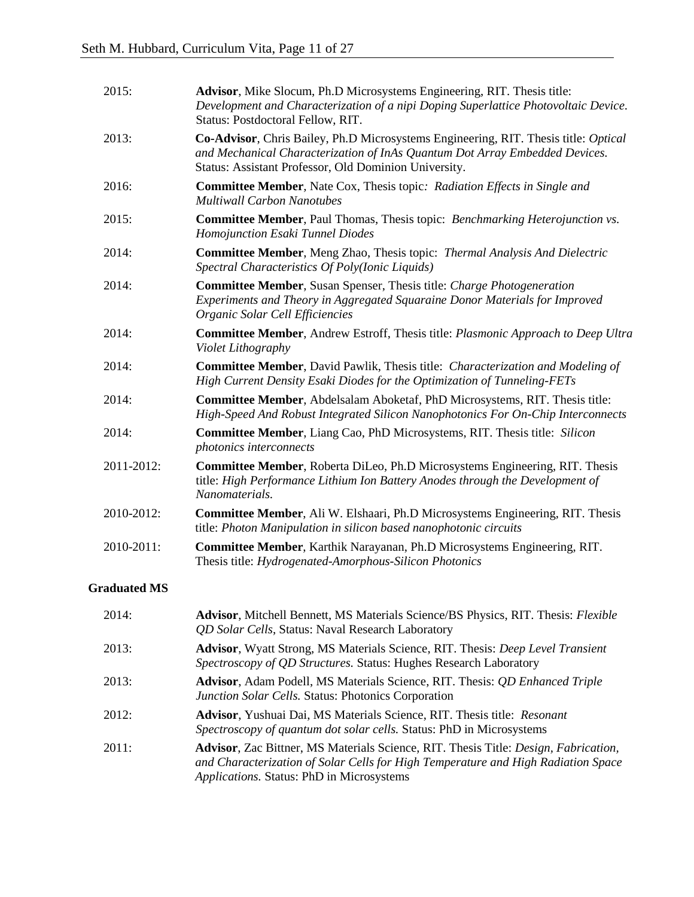| 2015:      | Advisor, Mike Slocum, Ph.D Microsystems Engineering, RIT. Thesis title:<br>Development and Characterization of a nipi Doping Superlattice Photovoltaic Device.<br>Status: Postdoctoral Fellow, RIT.                         |
|------------|-----------------------------------------------------------------------------------------------------------------------------------------------------------------------------------------------------------------------------|
| 2013:      | Co-Advisor, Chris Bailey, Ph.D Microsystems Engineering, RIT. Thesis title: Optical<br>and Mechanical Characterization of InAs Quantum Dot Array Embedded Devices.<br>Status: Assistant Professor, Old Dominion University. |
| 2016:      | <b>Committee Member, Nate Cox, Thesis topic: Radiation Effects in Single and</b><br><b>Multiwall Carbon Nanotubes</b>                                                                                                       |
| 2015:      | <b>Committee Member, Paul Thomas, Thesis topic: Benchmarking Heterojunction vs.</b><br>Homojunction Esaki Tunnel Diodes                                                                                                     |
| 2014:      | <b>Committee Member, Meng Zhao, Thesis topic: Thermal Analysis And Dielectric</b><br>Spectral Characteristics Of Poly(Ionic Liquids)                                                                                        |
| 2014:      | <b>Committee Member, Susan Spenser, Thesis title: Charge Photogeneration</b><br>Experiments and Theory in Aggregated Squaraine Donor Materials for Improved<br>Organic Solar Cell Efficiencies                              |
| 2014:      | <b>Committee Member, Andrew Estroff, Thesis title: Plasmonic Approach to Deep Ultra</b><br>Violet Lithography                                                                                                               |
| 2014:      | <b>Committee Member, David Pawlik, Thesis title: Characterization and Modeling of</b><br>High Current Density Esaki Diodes for the Optimization of Tunneling-FETs                                                           |
| 2014:      | Committee Member, Abdelsalam Aboketaf, PhD Microsystems, RIT. Thesis title:<br>High-Speed And Robust Integrated Silicon Nanophotonics For On-Chip Interconnects                                                             |
| 2014:      | <b>Committee Member, Liang Cao, PhD Microsystems, RIT. Thesis title: Silicon</b><br>photonics interconnects                                                                                                                 |
| 2011-2012: | <b>Committee Member, Roberta DiLeo, Ph.D Microsystems Engineering, RIT. Thesis</b><br>title: High Performance Lithium Ion Battery Anodes through the Development of<br>Nanomaterials.                                       |
| 2010-2012: | <b>Committee Member, Ali W. Elshaari, Ph.D Microsystems Engineering, RIT. Thesis</b><br>title: Photon Manipulation in silicon based nanophotonic circuits                                                                   |
| 2010-2011: | Committee Member, Karthik Narayanan, Ph.D Microsystems Engineering, RIT.<br>Thesis title: Hydrogenated-Amorphous-Silicon Photonics                                                                                          |

# **Graduated MS**

| 2014: | Advisor, Mitchell Bennett, MS Materials Science/BS Physics, RIT. Thesis: Flexible<br><i>QD Solar Cells, Status: Naval Research Laboratory</i>                                                                                         |
|-------|---------------------------------------------------------------------------------------------------------------------------------------------------------------------------------------------------------------------------------------|
| 2013: | Advisor, Wyatt Strong, MS Materials Science, RIT. Thesis: Deep Level Transient<br>Spectroscopy of QD Structures. Status: Hughes Research Laboratory                                                                                   |
| 2013: | <b>Advisor</b> , Adam Podell, MS Materials Science, RIT. Thesis: <i>QD Enhanced Triple</i><br>Junction Solar Cells. Status: Photonics Corporation                                                                                     |
| 2012: | Advisor, Yushuai Dai, MS Materials Science, RIT. Thesis title: Resonant<br>Spectroscopy of quantum dot solar cells. Status: PhD in Microsystems                                                                                       |
| 2011: | <b>Advisor</b> , Zac Bittner, MS Materials Science, RIT. Thesis Title: <i>Design, Fabrication</i> ,<br>and Characterization of Solar Cells for High Temperature and High Radiation Space<br>Applications. Status: PhD in Microsystems |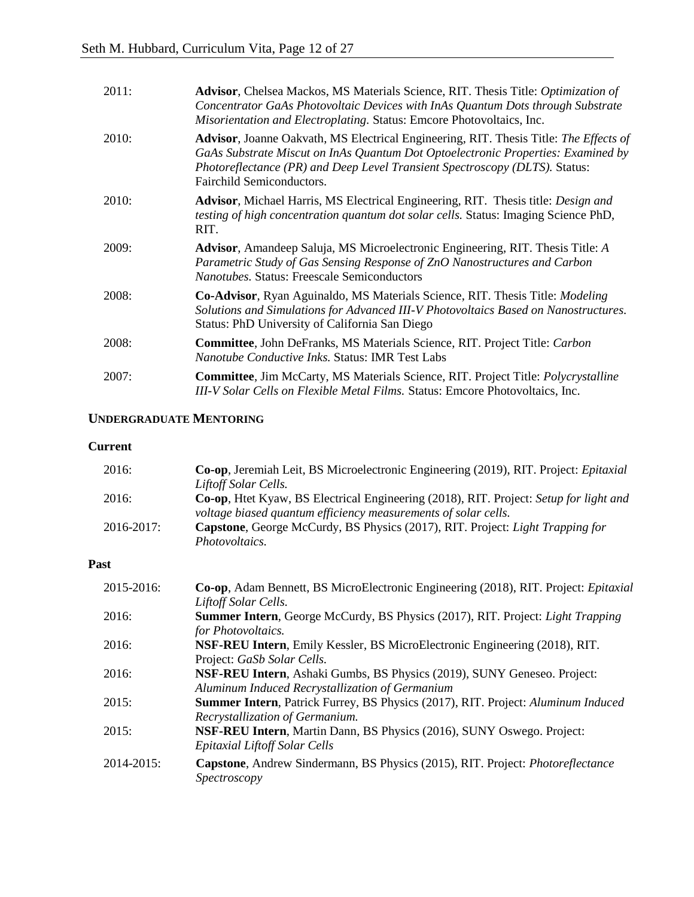| 2011:        | Advisor, Chelsea Mackos, MS Materials Science, RIT. Thesis Title: Optimization of<br>Concentrator GaAs Photovoltaic Devices with InAs Quantum Dots through Substrate<br>Misorientation and Electroplating. Status: Emcore Photovoltaics, Inc.                                         |
|--------------|---------------------------------------------------------------------------------------------------------------------------------------------------------------------------------------------------------------------------------------------------------------------------------------|
| <b>2010:</b> | Advisor, Joanne Oakvath, MS Electrical Engineering, RIT. Thesis Title: The Effects of<br>GaAs Substrate Miscut on InAs Quantum Dot Optoelectronic Properties: Examined by<br>Photoreflectance (PR) and Deep Level Transient Spectroscopy (DLTS). Status:<br>Fairchild Semiconductors. |
| <b>2010:</b> | Advisor, Michael Harris, MS Electrical Engineering, RIT. Thesis title: Design and<br><i>testing of high concentration quantum dot solar cells. Status: Imaging Science PhD,</i><br>RIT.                                                                                               |
| 2009:        | <b>Advisor</b> , Amandeep Saluja, MS Microelectronic Engineering, RIT. Thesis Title: A<br>Parametric Study of Gas Sensing Response of ZnO Nanostructures and Carbon<br>Nanotubes. Status: Freescale Semiconductors                                                                    |
| 2008:        | <b>Co-Advisor, Ryan Aguinaldo, MS Materials Science, RIT. Thesis Title: Modeling</b><br>Solutions and Simulations for Advanced III-V Photovoltaics Based on Nanostructures.<br>Status: PhD University of California San Diego                                                         |
| 2008:        | <b>Committee, John DeFranks, MS Materials Science, RIT. Project Title: Carbon</b><br><i>Nanotube Conductive Inks. Status: IMR Test Labs</i>                                                                                                                                           |
| 2007:        | <b>Committee</b> , Jim McCarty, MS Materials Science, RIT. Project Title: <i>Polycrystalline</i><br>III-V Solar Cells on Flexible Metal Films. Status: Emcore Photovoltaics, Inc.                                                                                                     |

# **UNDERGRADUATE MENTORING**

### **Current**

| 2016:           | Co-op, Jeremiah Leit, BS Microelectronic Engineering (2019), RIT. Project: Epitaxial          |
|-----------------|-----------------------------------------------------------------------------------------------|
|                 | Liftoff Solar Cells.                                                                          |
| 2016:           | <b>Co-op</b> , Htet Kyaw, BS Electrical Engineering (2018), RIT. Project: Setup for light and |
|                 | voltage biased quantum efficiency measurements of solar cells.                                |
| $2016 - 2017$ : | Capstone, George McCurdy, BS Physics (2017), RIT. Project: Light Trapping for                 |
|                 | <i>Photovoltaics.</i>                                                                         |

# **Past**

| 2015-2016: | Co-op, Adam Bennett, BS MicroElectronic Engineering (2018), RIT. Project: Epitaxial   |
|------------|---------------------------------------------------------------------------------------|
|            | Liftoff Solar Cells.                                                                  |
| 2016:      | <b>Summer Intern, George McCurdy, BS Physics (2017), RIT. Project: Light Trapping</b> |
|            | for Photovoltaics.                                                                    |
| 2016:      | NSF-REU Intern, Emily Kessler, BS MicroElectronic Engineering (2018), RIT.            |
|            | Project: GaSb Solar Cells.                                                            |
| 2016:      | NSF-REU Intern, Ashaki Gumbs, BS Physics (2019), SUNY Geneseo. Project:               |
|            | Aluminum Induced Recrystallization of Germanium                                       |
| 2015:      | Summer Intern, Patrick Furrey, BS Physics (2017), RIT. Project: Aluminum Induced      |
|            | Recrystallization of Germanium.                                                       |
| 2015:      | NSF-REU Intern, Martin Dann, BS Physics (2016), SUNY Oswego. Project:                 |
|            | <b>Epitaxial Liftoff Solar Cells</b>                                                  |
| 2014-2015: | Capstone, Andrew Sindermann, BS Physics (2015), RIT. Project: Photoreflectance        |
|            | Spectroscopy                                                                          |
|            |                                                                                       |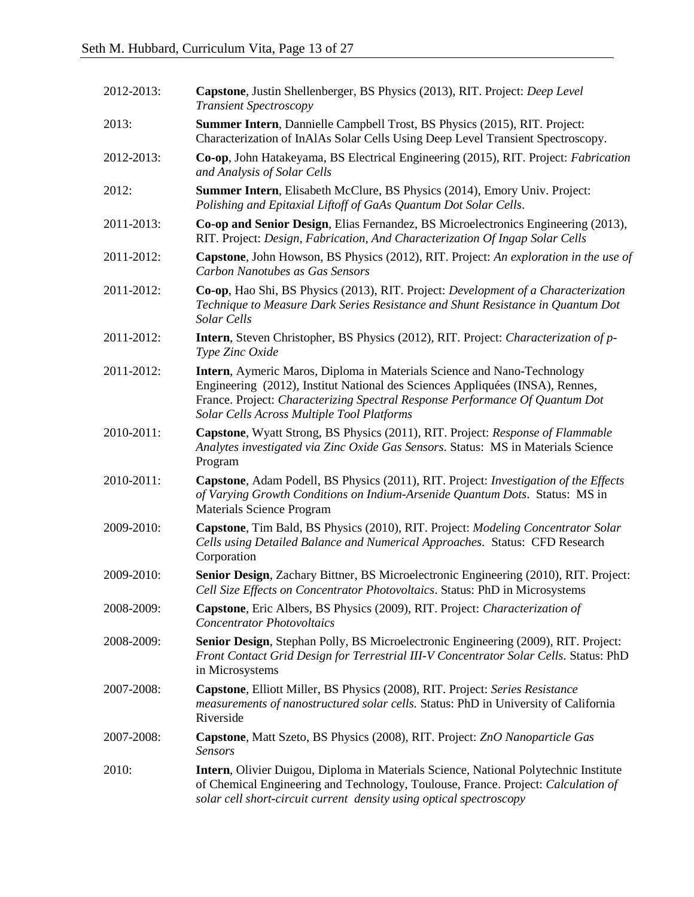| 2012-2013: | Capstone, Justin Shellenberger, BS Physics (2013), RIT. Project: Deep Level<br><b>Transient Spectroscopy</b>                                                                                                                                                                           |
|------------|----------------------------------------------------------------------------------------------------------------------------------------------------------------------------------------------------------------------------------------------------------------------------------------|
| 2013:      | <b>Summer Intern, Dannielle Campbell Trost, BS Physics (2015), RIT. Project:</b><br>Characterization of InAlAs Solar Cells Using Deep Level Transient Spectroscopy.                                                                                                                    |
| 2012-2013: | Co-op, John Hatakeyama, BS Electrical Engineering (2015), RIT. Project: Fabrication<br>and Analysis of Solar Cells                                                                                                                                                                     |
| 2012:      | Summer Intern, Elisabeth McClure, BS Physics (2014), Emory Univ. Project:<br>Polishing and Epitaxial Liftoff of GaAs Quantum Dot Solar Cells.                                                                                                                                          |
| 2011-2013: | Co-op and Senior Design, Elias Fernandez, BS Microelectronics Engineering (2013),<br>RIT. Project: Design, Fabrication, And Characterization Of Ingap Solar Cells                                                                                                                      |
| 2011-2012: | Capstone, John Howson, BS Physics (2012), RIT. Project: An exploration in the use of<br>Carbon Nanotubes as Gas Sensors                                                                                                                                                                |
| 2011-2012: | Co-op, Hao Shi, BS Physics (2013), RIT. Project: Development of a Characterization<br>Technique to Measure Dark Series Resistance and Shunt Resistance in Quantum Dot<br>Solar Cells                                                                                                   |
| 2011-2012: | <b>Intern</b> , Steven Christopher, BS Physics (2012), RIT. Project: Characterization of p-<br>Type Zinc Oxide                                                                                                                                                                         |
| 2011-2012: | Intern, Aymeric Maros, Diploma in Materials Science and Nano-Technology<br>Engineering (2012), Institut National des Sciences Appliquées (INSA), Rennes,<br>France. Project: Characterizing Spectral Response Performance Of Quantum Dot<br>Solar Cells Across Multiple Tool Platforms |
| 2010-2011: | Capstone, Wyatt Strong, BS Physics (2011), RIT. Project: Response of Flammable<br>Analytes investigated via Zinc Oxide Gas Sensors. Status: MS in Materials Science<br>Program                                                                                                         |
| 2010-2011: | Capstone, Adam Podell, BS Physics (2011), RIT. Project: Investigation of the Effects<br>of Varying Growth Conditions on Indium-Arsenide Quantum Dots. Status: MS in<br><b>Materials Science Program</b>                                                                                |
| 2009-2010: | Capstone, Tim Bald, BS Physics (2010), RIT. Project: Modeling Concentrator Solar<br>Cells using Detailed Balance and Numerical Approaches. Status: CFD Research<br>Corporation                                                                                                         |
| 2009-2010: | Senior Design, Zachary Bittner, BS Microelectronic Engineering (2010), RIT. Project:<br>Cell Size Effects on Concentrator Photovoltaics. Status: PhD in Microsystems                                                                                                                   |
| 2008-2009: | Capstone, Eric Albers, BS Physics (2009), RIT. Project: Characterization of<br><b>Concentrator Photovoltaics</b>                                                                                                                                                                       |
| 2008-2009: | Senior Design, Stephan Polly, BS Microelectronic Engineering (2009), RIT. Project:<br>Front Contact Grid Design for Terrestrial III-V Concentrator Solar Cells. Status: PhD<br>in Microsystems                                                                                         |
| 2007-2008: | Capstone, Elliott Miller, BS Physics (2008), RIT. Project: Series Resistance<br><i>measurements of nanostructured solar cells. Status: PhD in University of California</i><br>Riverside                                                                                                |
| 2007-2008: | Capstone, Matt Szeto, BS Physics (2008), RIT. Project: ZnO Nanoparticle Gas<br><b>Sensors</b>                                                                                                                                                                                          |
| 2010:      | Intern, Olivier Duigou, Diploma in Materials Science, National Polytechnic Institute<br>of Chemical Engineering and Technology, Toulouse, France. Project: Calculation of<br>solar cell short-circuit current density using optical spectroscopy                                       |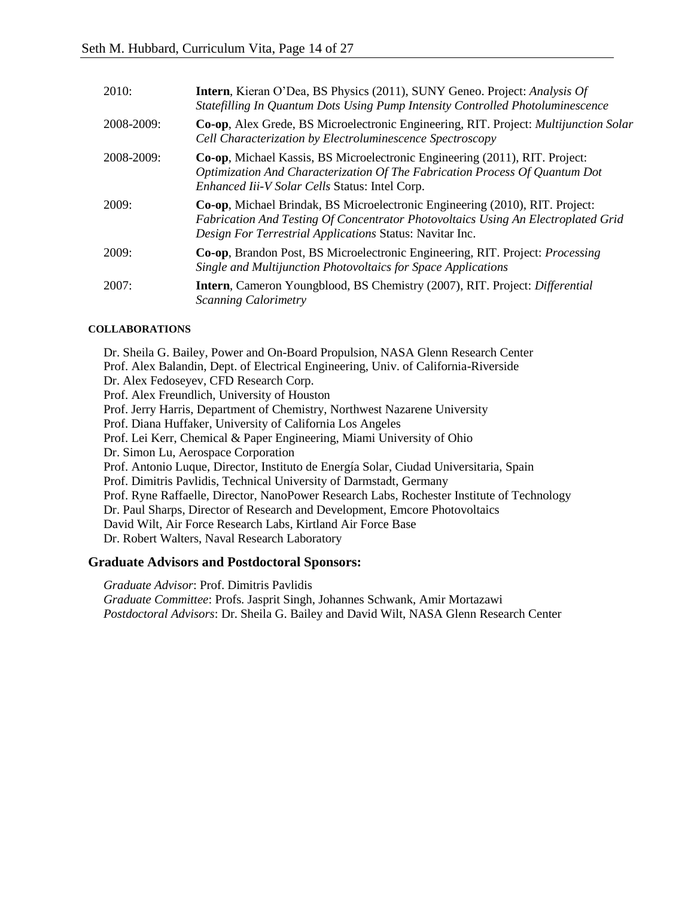| 2010:           | Intern, Kieran O'Dea, BS Physics (2011), SUNY Geneo. Project: Analysis Of<br>Statefilling In Quantum Dots Using Pump Intensity Controlled Photoluminescence                                                                   |
|-----------------|-------------------------------------------------------------------------------------------------------------------------------------------------------------------------------------------------------------------------------|
| 2008-2009:      | <b>Co-op, Alex Grede, BS Microelectronic Engineering, RIT. Project: Multijunction Solar</b><br>Cell Characterization by Electroluminescence Spectroscopy                                                                      |
| $2008 - 2009$ : | Co-op, Michael Kassis, BS Microelectronic Engineering (2011), RIT. Project:<br>Optimization And Characterization Of The Fabrication Process Of Quantum Dot<br>Enhanced Iii-V Solar Cells Status: Intel Corp.                  |
| 2009:           | Co-op, Michael Brindak, BS Microelectronic Engineering (2010), RIT. Project:<br>Fabrication And Testing Of Concentrator Photovoltaics Using An Electroplated Grid<br>Design For Terrestrial Applications Status: Navitar Inc. |
| 2009:           | Co-op, Brandon Post, BS Microelectronic Engineering, RIT. Project: <i>Processing</i><br>Single and Multijunction Photovoltaics for Space Applications                                                                         |
| 2007:           | <b>Intern</b> , Cameron Youngblood, BS Chemistry (2007), RIT. Project: <i>Differential</i><br><b>Scanning Calorimetry</b>                                                                                                     |

# **COLLABORATIONS**

Dr. Sheila G. Bailey, Power and On-Board Propulsion, NASA Glenn Research Center Prof. Alex Balandin, Dept. of Electrical Engineering, Univ. of California-Riverside Dr. Alex Fedoseyev, CFD Research Corp. Prof. Alex Freundlich, University of Houston Prof. Jerry Harris, Department of Chemistry, Northwest Nazarene University Prof. Diana Huffaker, University of California Los Angeles Prof. Lei Kerr, Chemical & Paper Engineering, Miami University of Ohio Dr. Simon Lu, Aerospace Corporation Prof. Antonio Luque, Director, Instituto de Energía Solar, Ciudad Universitaria, Spain Prof. Dimitris Pavlidis, Technical University of Darmstadt, Germany Prof. Ryne Raffaelle, Director, NanoPower Research Labs, Rochester Institute of Technology Dr. Paul Sharps, Director of Research and Development, Emcore Photovoltaics David Wilt, Air Force Research Labs, Kirtland Air Force Base Dr. Robert Walters, Naval Research Laboratory

# **Graduate Advisors and Postdoctoral Sponsors:**

*Graduate Advisor*: Prof. Dimitris Pavlidis *Graduate Committee*: Profs. Jasprit Singh, Johannes Schwank, Amir Mortazawi *Postdoctoral Advisors*: Dr. Sheila G. Bailey and David Wilt, NASA Glenn Research Center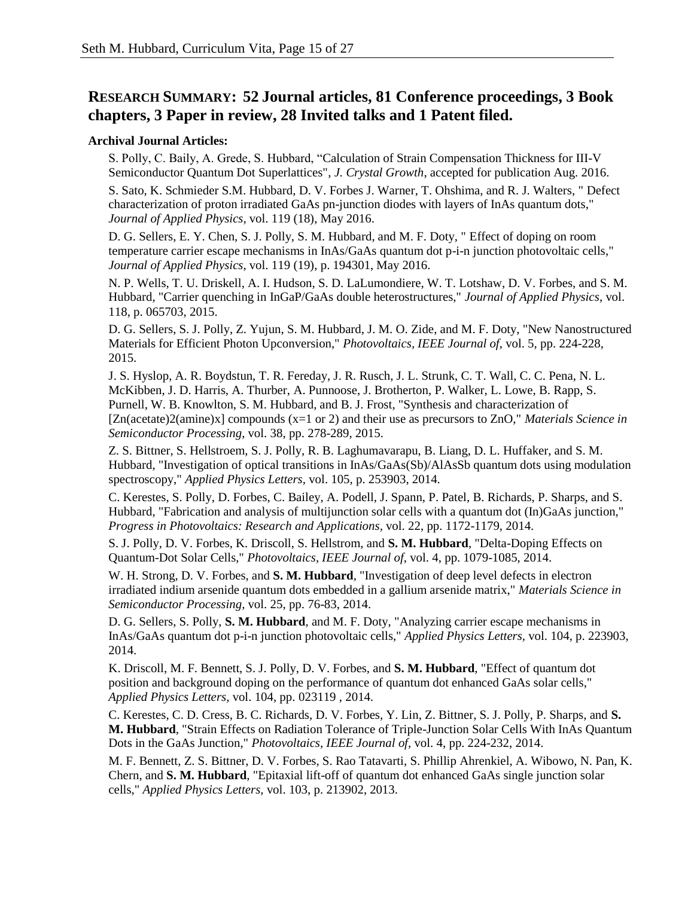# **RESEARCH SUMMARY: 52 Journal articles, 81 Conference proceedings, 3 Book chapters, 3 Paper in review, 28 Invited talks and 1 Patent filed.**

# **Archival Journal Articles:**

S. Polly, C. Baily, A. Grede, S. Hubbard, "Calculation of Strain Compensation Thickness for III-V Semiconductor Quantum Dot Superlattices", *J. Crystal Growth*, accepted for publication Aug. 2016.

S. Sato, K. Schmieder S.M. Hubbard, D. V. Forbes J. Warner, T. Ohshima, and R. J. Walters, " Defect characterization of proton irradiated GaAs pn-junction diodes with layers of InAs quantum dots," *Journal of Applied Physics*, vol. 119 (18), May 2016.

D. G. Sellers, E. Y. Chen, S. J. Polly, S. M. Hubbard, and M. F. Doty, " Effect of doping on room temperature carrier escape mechanisms in InAs/GaAs quantum dot p-i-n junction photovoltaic cells," *Journal of Applied Physics*, vol. 119 (19), p. 194301, May 2016.

N. P. Wells, T. U. Driskell, A. I. Hudson, S. D. LaLumondiere, W. T. Lotshaw, D. V. Forbes, and S. M. Hubbard, "Carrier quenching in InGaP/GaAs double heterostructures," *Journal of Applied Physics*, vol. 118, p. 065703, 2015.

D. G. Sellers, S. J. Polly, Z. Yujun, S. M. Hubbard, J. M. O. Zide, and M. F. Doty, "New Nanostructured Materials for Efficient Photon Upconversion," *Photovoltaics, IEEE Journal of*, vol. 5, pp. 224-228, 2015.

J. S. Hyslop, A. R. Boydstun, T. R. Fereday, J. R. Rusch, J. L. Strunk, C. T. Wall, C. C. Pena, N. L. McKibben, J. D. Harris, A. Thurber, A. Punnoose, J. Brotherton, P. Walker, L. Lowe, B. Rapp, S. Purnell, W. B. Knowlton, S. M. Hubbard, and B. J. Frost, "Synthesis and characterization of [Zn(acetate)2(amine)x] compounds (x=1 or 2) and their use as precursors to ZnO," *Materials Science in Semiconductor Processing*, vol. 38, pp. 278-289, 2015.

Z. S. Bittner, S. Hellstroem, S. J. Polly, R. B. Laghumavarapu, B. Liang, D. L. Huffaker, and S. M. Hubbard, "Investigation of optical transitions in InAs/GaAs(Sb)/AlAsSb quantum dots using modulation spectroscopy," *Applied Physics Letters,* vol. 105, p. 253903, 2014.

C. Kerestes, S. Polly, D. Forbes, C. Bailey, A. Podell, J. Spann, P. Patel, B. Richards, P. Sharps, and S. Hubbard, "Fabrication and analysis of multijunction solar cells with a quantum dot (In)GaAs junction," *Progress in Photovoltaics: Research and Applications,* vol. 22, pp. 1172-1179, 2014.

S. J. Polly, D. V. Forbes, K. Driscoll, S. Hellstrom, and **S. M. Hubbard**, "Delta-Doping Effects on Quantum-Dot Solar Cells," *Photovoltaics, IEEE Journal of,* vol. 4, pp. 1079-1085, 2014.

W. H. Strong, D. V. Forbes, and **S. M. Hubbard**, "Investigation of deep level defects in electron irradiated indium arsenide quantum dots embedded in a gallium arsenide matrix," *Materials Science in Semiconductor Processing,* vol. 25, pp. 76-83, 2014.

D. G. Sellers, S. Polly, **S. M. Hubbard**, and M. F. Doty, "Analyzing carrier escape mechanisms in InAs/GaAs quantum dot p-i-n junction photovoltaic cells," *Applied Physics Letters,* vol. 104, p. 223903, 2014.

K. Driscoll, M. F. Bennett, S. J. Polly, D. V. Forbes, and **S. M. Hubbard**, "Effect of quantum dot position and background doping on the performance of quantum dot enhanced GaAs solar cells," *Applied Physics Letters,* vol. 104, pp. 023119 , 2014.

C. Kerestes, C. D. Cress, B. C. Richards, D. V. Forbes, Y. Lin, Z. Bittner, S. J. Polly, P. Sharps, and **S. M. Hubbard**, "Strain Effects on Radiation Tolerance of Triple-Junction Solar Cells With InAs Quantum Dots in the GaAs Junction," *Photovoltaics, IEEE Journal of,* vol. 4, pp. 224-232, 2014.

M. F. Bennett, Z. S. Bittner, D. V. Forbes, S. Rao Tatavarti, S. Phillip Ahrenkiel, A. Wibowo, N. Pan, K. Chern, and **S. M. Hubbard**, "Epitaxial lift-off of quantum dot enhanced GaAs single junction solar cells," *Applied Physics Letters,* vol. 103, p. 213902, 2013.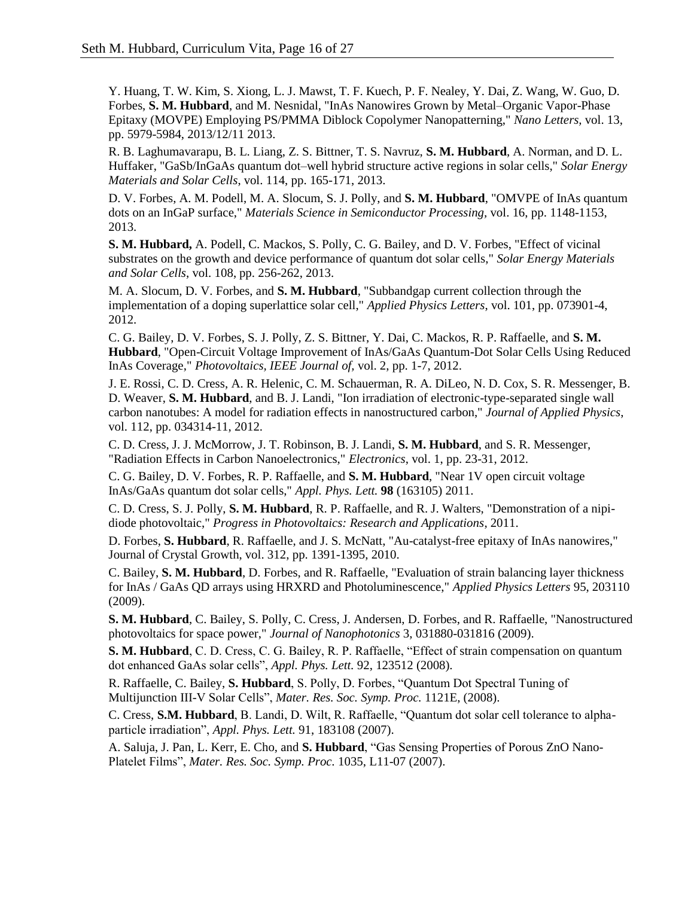Y. Huang, T. W. Kim, S. Xiong, L. J. Mawst, T. F. Kuech, P. F. Nealey, Y. Dai, Z. Wang, W. Guo, D. Forbes, **S. M. Hubbard**, and M. Nesnidal, "InAs Nanowires Grown by Metal–Organic Vapor-Phase Epitaxy (MOVPE) Employing PS/PMMA Diblock Copolymer Nanopatterning," *Nano Letters,* vol. 13, pp. 5979-5984, 2013/12/11 2013.

R. B. Laghumavarapu, B. L. Liang, Z. S. Bittner, T. S. Navruz, **S. M. Hubbard**, A. Norman, and D. L. Huffaker, "GaSb/InGaAs quantum dot–well hybrid structure active regions in solar cells," *Solar Energy Materials and Solar Cells*, vol. 114, pp. 165-171, 2013.

D. V. Forbes, A. M. Podell, M. A. Slocum, S. J. Polly, and **S. M. Hubbard**, "OMVPE of InAs quantum dots on an InGaP surface," *Materials Science in Semiconductor Processing,* vol. 16, pp. 1148-1153, 2013.

**S. M. Hubbard,** A. Podell, C. Mackos, S. Polly, C. G. Bailey, and D. V. Forbes, "Effect of vicinal substrates on the growth and device performance of quantum dot solar cells," *Solar Energy Materials and Solar Cells*, vol. 108, pp. 256-262, 2013.

M. A. Slocum, D. V. Forbes, and **S. M. Hubbard**, "Subbandgap current collection through the implementation of a doping superlattice solar cell," *Applied Physics Letters*, vol. 101, pp. 073901-4, 2012.

C. G. Bailey, D. V. Forbes, S. J. Polly, Z. S. Bittner, Y. Dai, C. Mackos, R. P. Raffaelle, and **S. M. Hubbard**, "Open-Circuit Voltage Improvement of InAs/GaAs Quantum-Dot Solar Cells Using Reduced InAs Coverage," *Photovoltaics, IEEE Journal of,* vol. 2, pp. 1-7, 2012.

J. E. Rossi, C. D. Cress, A. R. Helenic, C. M. Schauerman, R. A. DiLeo, N. D. Cox, S. R. Messenger, B. D. Weaver, **S. M. Hubbard**, and B. J. Landi, "Ion irradiation of electronic-type-separated single wall carbon nanotubes: A model for radiation effects in nanostructured carbon," *Journal of Applied Physics*, vol. 112, pp. 034314-11, 2012.

C. D. Cress, J. J. McMorrow, J. T. Robinson, B. J. Landi, **S. M. Hubbard**, and S. R. Messenger, "Radiation Effects in Carbon Nanoelectronics," *Electronics*, vol. 1, pp. 23-31, 2012.

C. G. Bailey, D. V. Forbes, R. P. Raffaelle, and **S. M. Hubbard**, "Near 1V open circuit voltage InAs/GaAs quantum dot solar cells," *Appl. Phys. Lett.* **98** (163105) 2011.

C. D. Cress, S. J. Polly, **S. M. Hubbard**, R. P. Raffaelle, and R. J. Walters, "Demonstration of a nipidiode photovoltaic," *Progress in Photovoltaics: Research and Applications*, 2011.

D. Forbes, **S. Hubbard**, R. Raffaelle, and J. S. McNatt, "Au-catalyst-free epitaxy of InAs nanowires," Journal of Crystal Growth, vol. 312, pp. 1391-1395, 2010.

C. Bailey, **S. M. Hubbard**, D. Forbes, and R. Raffaelle, "Evaluation of strain balancing layer thickness for InAs / GaAs QD arrays using HRXRD and Photoluminescence," *Applied Physics Letters* 95, 203110 (2009).

**S. M. Hubbard**, C. Bailey, S. Polly, C. Cress, J. Andersen, D. Forbes, and R. Raffaelle, "Nanostructured photovoltaics for space power," *Journal of Nanophotonics* 3, 031880-031816 (2009).

**S. M. Hubbard**, C. D. Cress, C. G. Bailey, R. P. Raffaelle, "Effect of strain compensation on quantum dot enhanced GaAs solar cells", *Appl. Phys. Lett.* 92, 123512 (2008).

R. Raffaelle, C. Bailey, **S. Hubbard**, S. Polly, D. Forbes, "Quantum Dot Spectral Tuning of Multijunction III-V Solar Cells", *Mater. Res. Soc. Symp. Proc.* 1121E, (2008).

C. Cress, **S.M. Hubbard**, B. Landi, D. Wilt, R. Raffaelle, "Quantum dot solar cell tolerance to alphaparticle irradiation", *Appl. Phys. Lett.* 91, 183108 (2007).

A. Saluja, J. Pan, L. Kerr, E. Cho, and **S. Hubbard**, "Gas Sensing Properties of Porous ZnO Nano-Platelet Films", *Mater. Res. Soc. Symp. Proc.* 1035, L11-07 (2007).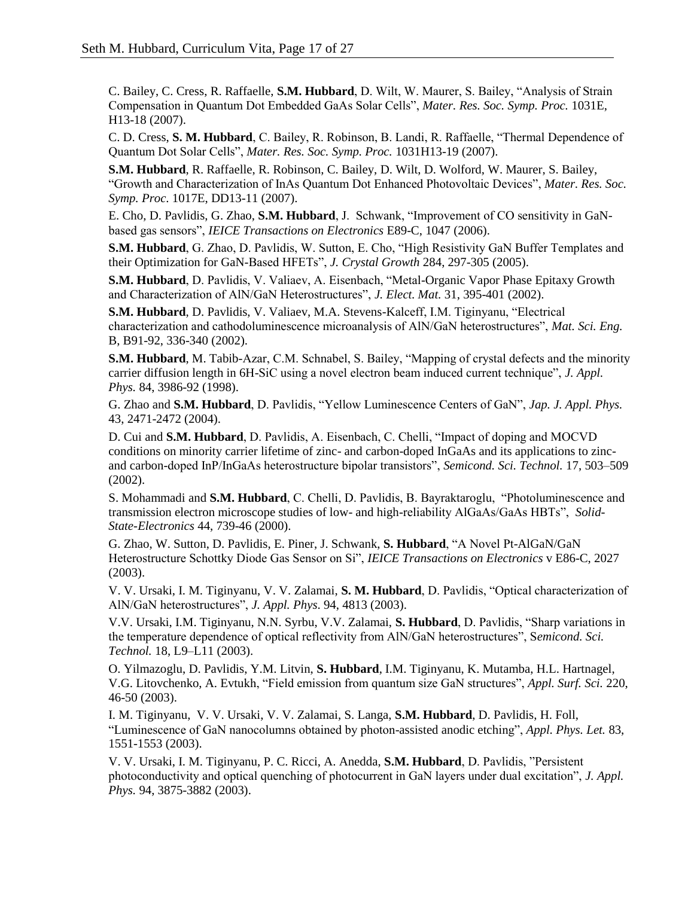C. Bailey, C. Cress, R. Raffaelle, **S.M. Hubbard**, D. Wilt, W. Maurer, S. Bailey, "Analysis of Strain Compensation in Quantum Dot Embedded GaAs Solar Cells", *Mater. Res. Soc. Symp. Proc.* 1031E, H13-18 (2007).

C. D. Cress, **S. M. Hubbard**, C. Bailey, R. Robinson, B. Landi, R. Raffaelle, "Thermal Dependence of Quantum Dot Solar Cells", *Mater. Res. Soc. Symp. Proc.* 1031H13-19 (2007).

**S.M. Hubbard**, R. Raffaelle, R. Robinson, C. Bailey, D. Wilt, D. Wolford, W. Maurer, S. Bailey, "Growth and Characterization of InAs Quantum Dot Enhanced Photovoltaic Devices", *Mater. Res. Soc. Symp. Proc.* 1017E, DD13-11 (2007).

E. Cho, D. Pavlidis, G. Zhao, **S.M. Hubbard**, J. Schwank, "Improvement of CO sensitivity in GaNbased gas sensors", *IEICE Transactions on Electronics* E89-C, 1047 (2006).

**S.M. Hubbard**, G. Zhao, D. Pavlidis, W. Sutton, E. Cho, "High Resistivity GaN Buffer Templates and their Optimization for GaN-Based HFETs", *J. Crystal Growth* 284, 297-305 (2005).

**S.M. Hubbard**, D. Pavlidis, V. Valiaev, A. Eisenbach, "Metal-Organic Vapor Phase Epitaxy Growth and Characterization of AlN/GaN Heterostructures", *J. Elect. Mat.* 31, 395-401 (2002).

**S.M. Hubbard**, D. Pavlidis, V. Valiaev, M.A. Stevens-Kalceff, I.M. Tiginyanu, "Electrical characterization and cathodoluminescence microanalysis of AlN/GaN heterostructures", *Mat. Sci. Eng.*  B, B91-92, 336-340 (2002).

**S.M. Hubbard**, M. Tabib-Azar, C.M. Schnabel, S. Bailey, "Mapping of crystal defects and the minority carrier diffusion length in 6H-SiC using a novel electron beam induced current technique", *J. Appl. Phys.* 84, 3986-92 (1998).

G. Zhao and **S.M. Hubbard**, D. Pavlidis, "Yellow Luminescence Centers of GaN", *Jap. J. Appl. Phys.* 43, 2471-2472 (2004).

D. Cui and **S.M. Hubbard**, D. Pavlidis, A. Eisenbach, C. Chelli, "Impact of doping and MOCVD conditions on minority carrier lifetime of zinc- and carbon-doped InGaAs and its applications to zincand carbon-doped InP/InGaAs heterostructure bipolar transistors", *Semicond. Sci. Technol.* 17, 503–509 (2002).

S. Mohammadi and **S.M. Hubbard**, C. Chelli, D. Pavlidis, B. Bayraktaroglu, "Photoluminescence and transmission electron microscope studies of low- and high-reliability AlGaAs/GaAs HBTs", *Solid-State-Electronics* 44, 739-46 (2000).

G. Zhao, W. Sutton, D. Pavlidis, E. Piner, J. Schwank, **S. Hubbard**, "A Novel Pt-AlGaN/GaN Heterostructure Schottky Diode Gas Sensor on Si", *IEICE Transactions on Electronics* v E86-C, 2027 (2003).

V. V. Ursaki, I. M. Tiginyanu, V. V. Zalamai, **S. M. Hubbard**, D. Pavlidis, "Optical characterization of AlN/GaN heterostructures", *J. Appl. Phys*. 94, 4813 (2003).

V.V. Ursaki, I.M. Tiginyanu, N.N. Syrbu, V.V. Zalamai, **S. Hubbard**, D. Pavlidis, "Sharp variations in the temperature dependence of optical reflectivity from AlN/GaN heterostructures", S*emicond. Sci. Technol.* 18, L9–L11 (2003).

O. Yilmazoglu, D. Pavlidis, Y.M. Litvin, **S. Hubbard**, I.M. Tiginyanu, K. Mutamba, H.L. Hartnagel, V.G. Litovchenko, A. Evtukh, "Field emission from quantum size GaN structures", *Appl. Surf. Sci.* 220, 46-50 (2003).

I. M. Tiginyanu, V. V. Ursaki, V. V. Zalamai, S. Langa, **S.M. Hubbard**, D. Pavlidis, H. Foll, "Luminescence of GaN nanocolumns obtained by photon-assisted anodic etching", *Appl. Phys. Let.* 83, 1551-1553 (2003).

V. V. Ursaki, I. M. Tiginyanu, P. C. Ricci, A. Anedda, **S.M. Hubbard**, D. Pavlidis, "Persistent photoconductivity and optical quenching of photocurrent in GaN layers under dual excitation", *J. Appl. Phys.* 94, 3875-3882 (2003).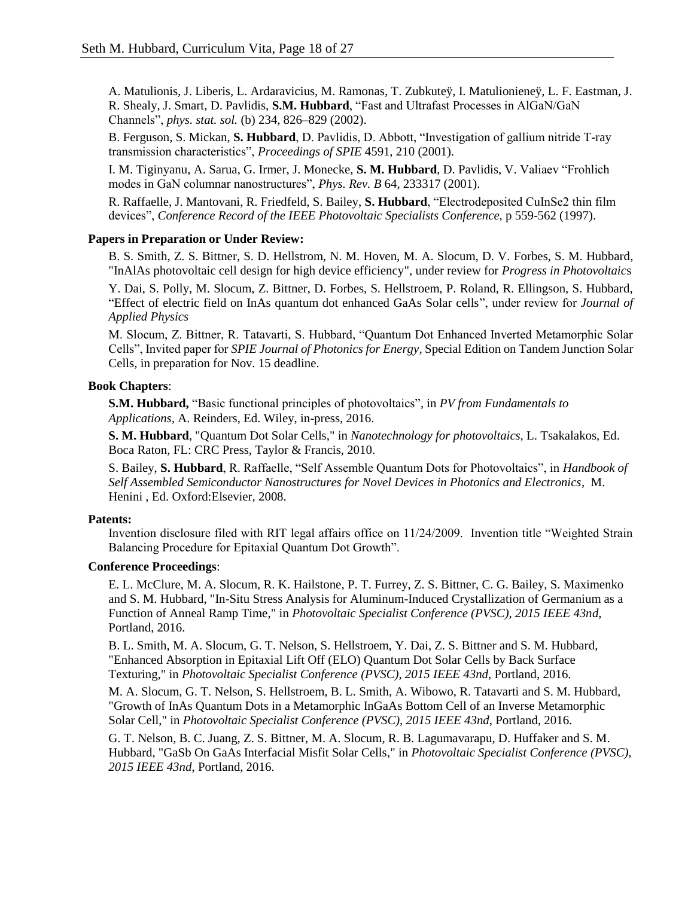A. Matulionis, J. Liberis, L. Ardaravicius, M. Ramonas, T. Zubkuteÿ, I. Matulionieneÿ, L. F. Eastman, J. R. Shealy, J. Smart, D. Pavlidis, **S.M. Hubbard**, "Fast and Ultrafast Processes in AlGaN/GaN Channels", *phys. stat. sol.* (b) 234, 826–829 (2002).

B. Ferguson, S. Mickan, **S. Hubbard**, D. Pavlidis, D. Abbott, "Investigation of gallium nitride T-ray transmission characteristics", *Proceedings of SPIE* 4591, 210 (2001).

I. M. Tiginyanu, A. Sarua, G. Irmer, J. Monecke, **S. M. Hubbard**, D. Pavlidis, V. Valiaev "Frohlich modes in GaN columnar nanostructures", *Phys. Rev. B* 64, 233317 (2001).

R. Raffaelle, J. Mantovani, R. Friedfeld, S. Bailey, **S. Hubbard**, "Electrodeposited CuInSe2 thin film devices", *Conference Record of the IEEE Photovoltaic Specialists Conference*, p 559-562 (1997).

### **Papers in Preparation or Under Review:**

B. S. Smith, Z. S. Bittner, S. D. Hellstrom, N. M. Hoven, M. A. Slocum, D. V. Forbes, S. M. Hubbard, "InAlAs photovoltaic cell design for high device efficiency", under review for *Progress in Photovoltaic*s

Y. Dai, S. Polly, M. Slocum, Z. Bittner, D. Forbes, S. Hellstroem, P. Roland, R. Ellingson, S. Hubbard, "Effect of electric field on InAs quantum dot enhanced GaAs Solar cells", under review for *Journal of Applied Physics*

M. Slocum, Z. Bittner, R. Tatavarti, S. Hubbard, "Quantum Dot Enhanced Inverted Metamorphic Solar Cells", Invited paper for *SPIE Journal of Photonics for Energy,* Special Edition on Tandem Junction Solar Cells, in preparation for Nov. 15 deadline.

### **Book Chapters**:

**S.M. Hubbard,** "Basic functional principles of photovoltaics", in *PV from Fundamentals to Applications,* A. Reinders, Ed. Wiley, in-press, 2016.

**S. M. Hubbard**, "Quantum Dot Solar Cells," in *Nanotechnology for photovoltaics*, L. Tsakalakos, Ed. Boca Raton, FL: CRC Press, Taylor & Francis, 2010.

S. Bailey, **S. Hubbard**, R. Raffaelle, "Self Assemble Quantum Dots for Photovoltaics", in *Handbook of Self Assembled Semiconductor Nanostructures for Novel Devices in Photonics and Electronics*, M. Henini , Ed. Oxford:Elsevier, 2008.

### **Patents:**

Invention disclosure filed with RIT legal affairs office on 11/24/2009. Invention title "Weighted Strain Balancing Procedure for Epitaxial Quantum Dot Growth".

### **Conference Proceedings**:

E. L. McClure, M. A. Slocum, R. K. Hailstone, P. T. Furrey, Z. S. Bittner, C. G. Bailey, S. Maximenko and S. M. Hubbard, "In-Situ Stress Analysis for Aluminum-Induced Crystallization of Germanium as a Function of Anneal Ramp Time," in *Photovoltaic Specialist Conference (PVSC), 2015 IEEE 43nd*, Portland, 2016.

B. L. Smith, M. A. Slocum, G. T. Nelson, S. Hellstroem, Y. Dai, Z. S. Bittner and S. M. Hubbard, "Enhanced Absorption in Epitaxial Lift Off (ELO) Quantum Dot Solar Cells by Back Surface Texturing," in *Photovoltaic Specialist Conference (PVSC), 2015 IEEE 43nd*, Portland, 2016.

M. A. Slocum, G. T. Nelson, S. Hellstroem, B. L. Smith, A. Wibowo, R. Tatavarti and S. M. Hubbard, "Growth of InAs Quantum Dots in a Metamorphic InGaAs Bottom Cell of an Inverse Metamorphic Solar Cell," in *Photovoltaic Specialist Conference (PVSC), 2015 IEEE 43nd*, Portland, 2016.

G. T. Nelson, B. C. Juang, Z. S. Bittner, M. A. Slocum, R. B. Lagumavarapu, D. Huffaker and S. M. Hubbard, "GaSb On GaAs Interfacial Misfit Solar Cells," in *Photovoltaic Specialist Conference (PVSC), 2015 IEEE 43nd*, Portland, 2016.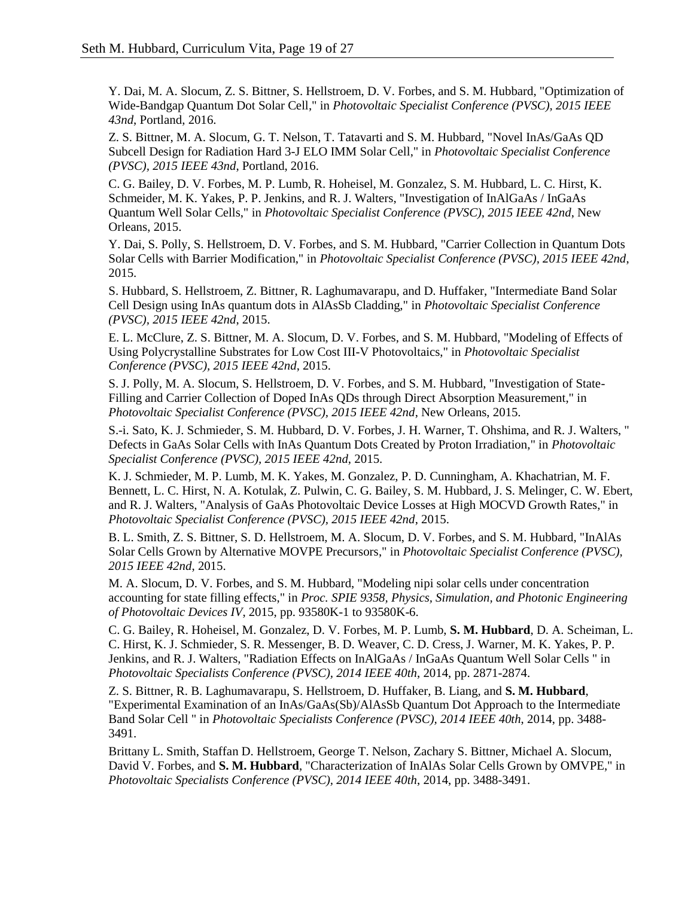Y. Dai, M. A. Slocum, Z. S. Bittner, S. Hellstroem, D. V. Forbes, and S. M. Hubbard, "Optimization of Wide-Bandgap Quantum Dot Solar Cell," in *Photovoltaic Specialist Conference (PVSC), 2015 IEEE 43nd*, Portland, 2016.

Z. S. Bittner, M. A. Slocum, G. T. Nelson, T. Tatavarti and S. M. Hubbard, "Novel InAs/GaAs QD Subcell Design for Radiation Hard 3-J ELO IMM Solar Cell," in *Photovoltaic Specialist Conference (PVSC), 2015 IEEE 43nd*, Portland, 2016.

C. G. Bailey, D. V. Forbes, M. P. Lumb, R. Hoheisel, M. Gonzalez, S. M. Hubbard, L. C. Hirst, K. Schmeider, M. K. Yakes, P. P. Jenkins, and R. J. Walters, "Investigation of InAlGaAs / InGaAs Quantum Well Solar Cells," in *Photovoltaic Specialist Conference (PVSC), 2015 IEEE 42nd*, New Orleans, 2015.

Y. Dai, S. Polly, S. Hellstroem, D. V. Forbes, and S. M. Hubbard, "Carrier Collection in Quantum Dots Solar Cells with Barrier Modification," in *Photovoltaic Specialist Conference (PVSC), 2015 IEEE 42nd*, 2015.

S. Hubbard, S. Hellstroem, Z. Bittner, R. Laghumavarapu, and D. Huffaker, "Intermediate Band Solar Cell Design using InAs quantum dots in AlAsSb Cladding," in *Photovoltaic Specialist Conference (PVSC), 2015 IEEE 42nd*, 2015.

E. L. McClure, Z. S. Bittner, M. A. Slocum, D. V. Forbes, and S. M. Hubbard, "Modeling of Effects of Using Polycrystalline Substrates for Low Cost III-V Photovoltaics," in *Photovoltaic Specialist Conference (PVSC), 2015 IEEE 42nd*, 2015.

S. J. Polly, M. A. Slocum, S. Hellstroem, D. V. Forbes, and S. M. Hubbard, "Investigation of State-Filling and Carrier Collection of Doped InAs QDs through Direct Absorption Measurement," in *Photovoltaic Specialist Conference (PVSC), 2015 IEEE 42nd*, New Orleans, 2015.

S.-i. Sato, K. J. Schmieder, S. M. Hubbard, D. V. Forbes, J. H. Warner, T. Ohshima, and R. J. Walters, " Defects in GaAs Solar Cells with InAs Quantum Dots Created by Proton Irradiation," in *Photovoltaic Specialist Conference (PVSC), 2015 IEEE 42nd*, 2015.

K. J. Schmieder, M. P. Lumb, M. K. Yakes, M. Gonzalez, P. D. Cunningham, A. Khachatrian, M. F. Bennett, L. C. Hirst, N. A. Kotulak, Z. Pulwin, C. G. Bailey, S. M. Hubbard, J. S. Melinger, C. W. Ebert, and R. J. Walters, "Analysis of GaAs Photovoltaic Device Losses at High MOCVD Growth Rates," in *Photovoltaic Specialist Conference (PVSC), 2015 IEEE 42nd*, 2015.

B. L. Smith, Z. S. Bittner, S. D. Hellstroem, M. A. Slocum, D. V. Forbes, and S. M. Hubbard, "InAlAs Solar Cells Grown by Alternative MOVPE Precursors," in *Photovoltaic Specialist Conference (PVSC), 2015 IEEE 42nd*, 2015.

M. A. Slocum, D. V. Forbes, and S. M. Hubbard, "Modeling nipi solar cells under concentration accounting for state filling effects," in *Proc. SPIE 9358, Physics, Simulation, and Photonic Engineering of Photovoltaic Devices IV*, 2015, pp. 93580K-1 to 93580K-6.

C. G. Bailey, R. Hoheisel, M. Gonzalez, D. V. Forbes, M. P. Lumb, **S. M. Hubbard**, D. A. Scheiman, L. C. Hirst, K. J. Schmieder, S. R. Messenger, B. D. Weaver, C. D. Cress, J. Warner, M. K. Yakes, P. P. Jenkins, and R. J. Walters, "Radiation Effects on InAlGaAs / InGaAs Quantum Well Solar Cells " in *Photovoltaic Specialists Conference (PVSC), 2014 IEEE 40th*, 2014, pp. 2871-2874.

Z. S. Bittner, R. B. Laghumavarapu, S. Hellstroem, D. Huffaker, B. Liang, and **S. M. Hubbard**, "Experimental Examination of an InAs/GaAs(Sb)/AlAsSb Quantum Dot Approach to the Intermediate Band Solar Cell " in *Photovoltaic Specialists Conference (PVSC), 2014 IEEE 40th*, 2014, pp. 3488- 3491.

Brittany L. Smith, Staffan D. Hellstroem, George T. Nelson, Zachary S. Bittner, Michael A. Slocum, David V. Forbes, and **S. M. Hubbard**, "Characterization of InAlAs Solar Cells Grown by OMVPE," in *Photovoltaic Specialists Conference (PVSC), 2014 IEEE 40th*, 2014, pp. 3488-3491.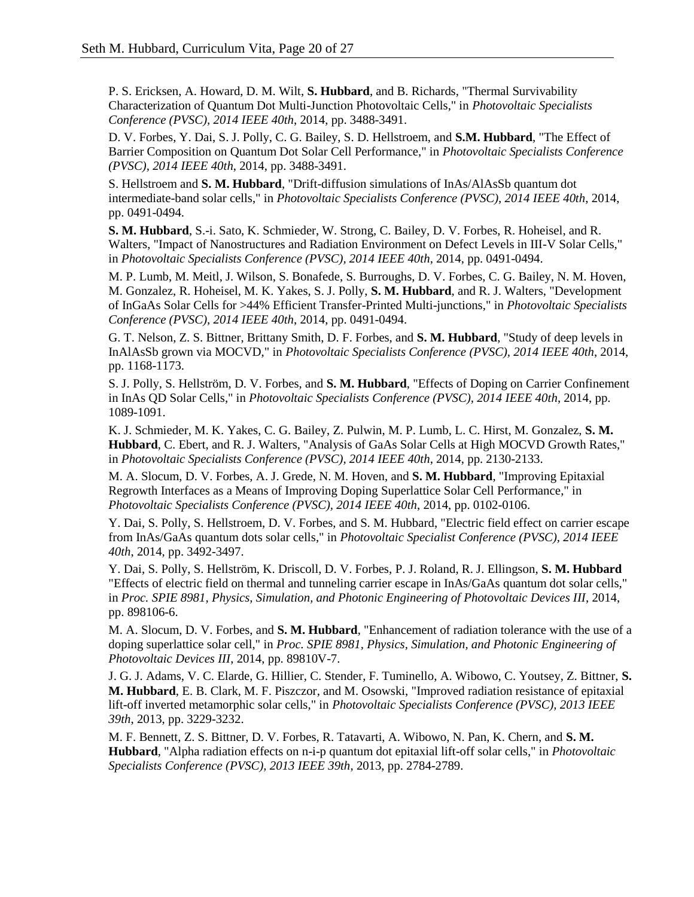P. S. Ericksen, A. Howard, D. M. Wilt, **S. Hubbard**, and B. Richards, "Thermal Survivability Characterization of Quantum Dot Multi-Junction Photovoltaic Cells," in *Photovoltaic Specialists Conference (PVSC), 2014 IEEE 40th*, 2014, pp. 3488-3491.

D. V. Forbes, Y. Dai, S. J. Polly, C. G. Bailey, S. D. Hellstroem, and **S.M. Hubbard**, "The Effect of Barrier Composition on Quantum Dot Solar Cell Performance," in *Photovoltaic Specialists Conference (PVSC), 2014 IEEE 40th*, 2014, pp. 3488-3491.

S. Hellstroem and **S. M. Hubbard**, "Drift-diffusion simulations of InAs/AlAsSb quantum dot intermediate-band solar cells," in *Photovoltaic Specialists Conference (PVSC), 2014 IEEE 40th*, 2014, pp. 0491-0494.

**S. M. Hubbard**, S.-i. Sato, K. Schmieder, W. Strong, C. Bailey, D. V. Forbes, R. Hoheisel, and R. Walters, "Impact of Nanostructures and Radiation Environment on Defect Levels in III-V Solar Cells," in *Photovoltaic Specialists Conference (PVSC), 2014 IEEE 40th*, 2014, pp. 0491-0494.

M. P. Lumb, M. Meitl, J. Wilson, S. Bonafede, S. Burroughs, D. V. Forbes, C. G. Bailey, N. M. Hoven, M. Gonzalez, R. Hoheisel, M. K. Yakes, S. J. Polly, **S. M. Hubbard**, and R. J. Walters, "Development of InGaAs Solar Cells for >44% Efficient Transfer-Printed Multi-junctions," in *Photovoltaic Specialists Conference (PVSC), 2014 IEEE 40th*, 2014, pp. 0491-0494.

G. T. Nelson, Z. S. Bittner, Brittany Smith, D. F. Forbes, and **S. M. Hubbard**, "Study of deep levels in InAlAsSb grown via MOCVD," in *Photovoltaic Specialists Conference (PVSC), 2014 IEEE 40th*, 2014, pp. 1168-1173.

S. J. Polly, S. Hellström, D. V. Forbes, and **S. M. Hubbard**, "Effects of Doping on Carrier Confinement in InAs QD Solar Cells," in *Photovoltaic Specialists Conference (PVSC), 2014 IEEE 40th*, 2014, pp. 1089-1091.

K. J. Schmieder, M. K. Yakes, C. G. Bailey, Z. Pulwin, M. P. Lumb, L. C. Hirst, M. Gonzalez, **S. M. Hubbard**, C. Ebert, and R. J. Walters, "Analysis of GaAs Solar Cells at High MOCVD Growth Rates," in *Photovoltaic Specialists Conference (PVSC), 2014 IEEE 40th*, 2014, pp. 2130-2133.

M. A. Slocum, D. V. Forbes, A. J. Grede, N. M. Hoven, and **S. M. Hubbard**, "Improving Epitaxial Regrowth Interfaces as a Means of Improving Doping Superlattice Solar Cell Performance," in *Photovoltaic Specialists Conference (PVSC), 2014 IEEE 40th*, 2014, pp. 0102-0106.

Y. Dai, S. Polly, S. Hellstroem, D. V. Forbes, and S. M. Hubbard, "Electric field effect on carrier escape from InAs/GaAs quantum dots solar cells," in *Photovoltaic Specialist Conference (PVSC), 2014 IEEE 40th*, 2014, pp. 3492-3497.

Y. Dai, S. Polly, S. Hellström, K. Driscoll, D. V. Forbes, P. J. Roland, R. J. Ellingson, **S. M. Hubbard** "Effects of electric field on thermal and tunneling carrier escape in InAs/GaAs quantum dot solar cells," in *Proc. SPIE 8981, Physics, Simulation, and Photonic Engineering of Photovoltaic Devices III*, 2014, pp. 898106-6.

M. A. Slocum, D. V. Forbes, and **S. M. Hubbard**, "Enhancement of radiation tolerance with the use of a doping superlattice solar cell," in *Proc. SPIE 8981, Physics, Simulation, and Photonic Engineering of Photovoltaic Devices III*, 2014, pp. 89810V-7.

J. G. J. Adams, V. C. Elarde, G. Hillier, C. Stender, F. Tuminello, A. Wibowo, C. Youtsey, Z. Bittner, **S. M. Hubbard**, E. B. Clark, M. F. Piszczor, and M. Osowski, "Improved radiation resistance of epitaxial lift-off inverted metamorphic solar cells," in *Photovoltaic Specialists Conference (PVSC), 2013 IEEE 39th*, 2013, pp. 3229-3232.

M. F. Bennett, Z. S. Bittner, D. V. Forbes, R. Tatavarti, A. Wibowo, N. Pan, K. Chern, and **S. M. Hubbard**, "Alpha radiation effects on n-i-p quantum dot epitaxial lift-off solar cells," in *Photovoltaic Specialists Conference (PVSC), 2013 IEEE 39th*, 2013, pp. 2784-2789.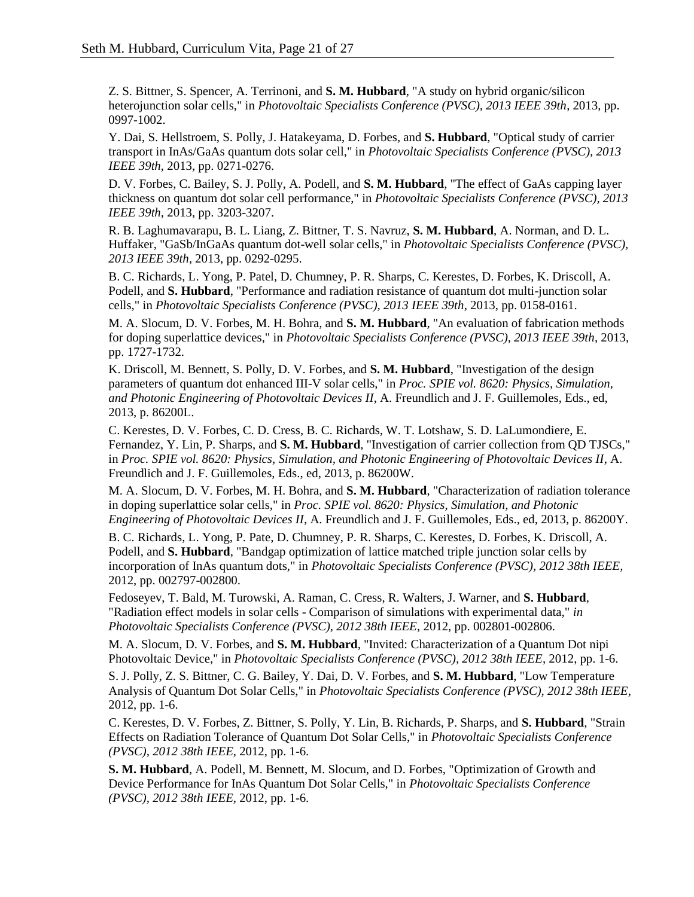Z. S. Bittner, S. Spencer, A. Terrinoni, and **S. M. Hubbard**, "A study on hybrid organic/silicon heterojunction solar cells," in *Photovoltaic Specialists Conference (PVSC), 2013 IEEE 39th*, 2013, pp. 0997-1002.

Y. Dai, S. Hellstroem, S. Polly, J. Hatakeyama, D. Forbes, and **S. Hubbard**, "Optical study of carrier transport in InAs/GaAs quantum dots solar cell," in *Photovoltaic Specialists Conference (PVSC), 2013 IEEE 39th*, 2013, pp. 0271-0276.

D. V. Forbes, C. Bailey, S. J. Polly, A. Podell, and **S. M. Hubbard**, "The effect of GaAs capping layer thickness on quantum dot solar cell performance," in *Photovoltaic Specialists Conference (PVSC), 2013 IEEE 39th*, 2013, pp. 3203-3207.

R. B. Laghumavarapu, B. L. Liang, Z. Bittner, T. S. Navruz, **S. M. Hubbard**, A. Norman, and D. L. Huffaker, "GaSb/InGaAs quantum dot-well solar cells," in *Photovoltaic Specialists Conference (PVSC), 2013 IEEE 39th*, 2013, pp. 0292-0295.

B. C. Richards, L. Yong, P. Patel, D. Chumney, P. R. Sharps, C. Kerestes, D. Forbes, K. Driscoll, A. Podell, and **S. Hubbard**, "Performance and radiation resistance of quantum dot multi-junction solar cells," in *Photovoltaic Specialists Conference (PVSC), 2013 IEEE 39th*, 2013, pp. 0158-0161.

M. A. Slocum, D. V. Forbes, M. H. Bohra, and **S. M. Hubbard**, "An evaluation of fabrication methods for doping superlattice devices," in *Photovoltaic Specialists Conference (PVSC), 2013 IEEE 39th*, 2013, pp. 1727-1732.

K. Driscoll, M. Bennett, S. Polly, D. V. Forbes, and **S. M. Hubbard**, "Investigation of the design parameters of quantum dot enhanced III-V solar cells," in *Proc. SPIE vol. 8620: Physics, Simulation, and Photonic Engineering of Photovoltaic Devices II*, A. Freundlich and J. F. Guillemoles, Eds., ed, 2013, p. 86200L.

C. Kerestes, D. V. Forbes, C. D. Cress, B. C. Richards, W. T. Lotshaw, S. D. LaLumondiere, E. Fernandez, Y. Lin, P. Sharps, and **S. M. Hubbard**, "Investigation of carrier collection from QD TJSCs," in *Proc. SPIE vol. 8620: Physics, Simulation, and Photonic Engineering of Photovoltaic Devices II*, A. Freundlich and J. F. Guillemoles, Eds., ed, 2013, p. 86200W.

M. A. Slocum, D. V. Forbes, M. H. Bohra, and **S. M. Hubbard**, "Characterization of radiation tolerance in doping superlattice solar cells," in *Proc. SPIE vol. 8620: Physics, Simulation, and Photonic Engineering of Photovoltaic Devices II*, A. Freundlich and J. F. Guillemoles, Eds., ed, 2013, p. 86200Y.

B. C. Richards, L. Yong, P. Pate, D. Chumney, P. R. Sharps, C. Kerestes, D. Forbes, K. Driscoll, A. Podell, and **S. Hubbard**, "Bandgap optimization of lattice matched triple junction solar cells by incorporation of InAs quantum dots," in *Photovoltaic Specialists Conference (PVSC), 2012 38th IEEE*, 2012, pp. 002797-002800.

Fedoseyev, T. Bald, M. Turowski, A. Raman, C. Cress, R. Walters, J. Warner, and **S. Hubbard**, "Radiation effect models in solar cells - Comparison of simulations with experimental data," *in Photovoltaic Specialists Conference (PVSC), 2012 38th IEEE*, 2012, pp. 002801-002806.

M. A. Slocum, D. V. Forbes, and **S. M. Hubbard**, "Invited: Characterization of a Quantum Dot nipi Photovoltaic Device," in *Photovoltaic Specialists Conference (PVSC), 2012 38th IEEE*, 2012, pp. 1-6.

S. J. Polly, Z. S. Bittner, C. G. Bailey, Y. Dai, D. V. Forbes, and **S. M. Hubbard**, "Low Temperature Analysis of Quantum Dot Solar Cells," in *Photovoltaic Specialists Conference (PVSC), 2012 38th IEEE*, 2012, pp. 1-6.

C. Kerestes, D. V. Forbes, Z. Bittner, S. Polly, Y. Lin, B. Richards, P. Sharps, and **S. Hubbard**, "Strain Effects on Radiation Tolerance of Quantum Dot Solar Cells," in *Photovoltaic Specialists Conference (PVSC), 2012 38th IEEE*, 2012, pp. 1-6.

**S. M. Hubbard**, A. Podell, M. Bennett, M. Slocum, and D. Forbes, "Optimization of Growth and Device Performance for InAs Quantum Dot Solar Cells," in *Photovoltaic Specialists Conference (PVSC), 2012 38th IEEE*, 2012, pp. 1-6.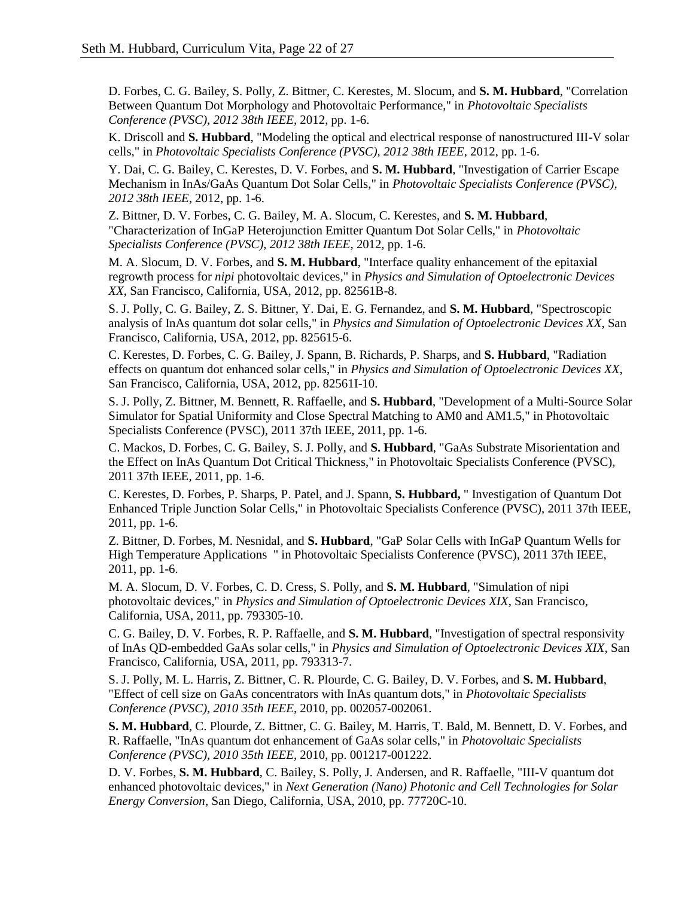D. Forbes, C. G. Bailey, S. Polly, Z. Bittner, C. Kerestes, M. Slocum, and **S. M. Hubbard**, "Correlation Between Quantum Dot Morphology and Photovoltaic Performance," in *Photovoltaic Specialists Conference (PVSC), 2012 38th IEEE*, 2012, pp. 1-6.

K. Driscoll and **S. Hubbard**, "Modeling the optical and electrical response of nanostructured III-V solar cells," in *Photovoltaic Specialists Conference (PVSC), 2012 38th IEEE*, 2012, pp. 1-6.

Y. Dai, C. G. Bailey, C. Kerestes, D. V. Forbes, and **S. M. Hubbard**, "Investigation of Carrier Escape Mechanism in InAs/GaAs Quantum Dot Solar Cells," in *Photovoltaic Specialists Conference (PVSC), 2012 38th IEEE*, 2012, pp. 1-6.

Z. Bittner, D. V. Forbes, C. G. Bailey, M. A. Slocum, C. Kerestes, and **S. M. Hubbard**, "Characterization of InGaP Heterojunction Emitter Quantum Dot Solar Cells," in *Photovoltaic Specialists Conference (PVSC), 2012 38th IEEE*, 2012, pp. 1-6.

M. A. Slocum, D. V. Forbes, and **S. M. Hubbard**, "Interface quality enhancement of the epitaxial regrowth process for *nipi* photovoltaic devices," in *Physics and Simulation of Optoelectronic Devices XX*, San Francisco, California, USA, 2012, pp. 82561B-8.

S. J. Polly, C. G. Bailey, Z. S. Bittner, Y. Dai, E. G. Fernandez, and **S. M. Hubbard**, "Spectroscopic analysis of InAs quantum dot solar cells," in *Physics and Simulation of Optoelectronic Devices XX*, San Francisco, California, USA, 2012, pp. 825615-6.

C. Kerestes, D. Forbes, C. G. Bailey, J. Spann, B. Richards, P. Sharps, and **S. Hubbard**, "Radiation effects on quantum dot enhanced solar cells," in *Physics and Simulation of Optoelectronic Devices XX*, San Francisco, California, USA, 2012, pp. 82561I-10.

S. J. Polly, Z. Bittner, M. Bennett, R. Raffaelle, and **S. Hubbard**, "Development of a Multi-Source Solar Simulator for Spatial Uniformity and Close Spectral Matching to AM0 and AM1.5," in Photovoltaic Specialists Conference (PVSC), 2011 37th IEEE, 2011, pp. 1-6.

C. Mackos, D. Forbes, C. G. Bailey, S. J. Polly, and **S. Hubbard**, "GaAs Substrate Misorientation and the Effect on InAs Quantum Dot Critical Thickness," in Photovoltaic Specialists Conference (PVSC), 2011 37th IEEE, 2011, pp. 1-6.

C. Kerestes, D. Forbes, P. Sharps, P. Patel, and J. Spann, **S. Hubbard,** " Investigation of Quantum Dot Enhanced Triple Junction Solar Cells," in Photovoltaic Specialists Conference (PVSC), 2011 37th IEEE, 2011, pp. 1-6.

Z. Bittner, D. Forbes, M. Nesnidal, and **S. Hubbard**, "GaP Solar Cells with InGaP Quantum Wells for High Temperature Applications " in Photovoltaic Specialists Conference (PVSC), 2011 37th IEEE, 2011, pp. 1-6.

M. A. Slocum, D. V. Forbes, C. D. Cress, S. Polly, and **S. M. Hubbard**, "Simulation of nipi photovoltaic devices," in *Physics and Simulation of Optoelectronic Devices XIX*, San Francisco, California, USA, 2011, pp. 793305-10.

C. G. Bailey, D. V. Forbes, R. P. Raffaelle, and **S. M. Hubbard**, "Investigation of spectral responsivity of InAs QD-embedded GaAs solar cells," in *Physics and Simulation of Optoelectronic Devices XIX*, San Francisco, California, USA, 2011, pp. 793313-7.

S. J. Polly, M. L. Harris, Z. Bittner, C. R. Plourde, C. G. Bailey, D. V. Forbes, and **S. M. Hubbard**, "Effect of cell size on GaAs concentrators with InAs quantum dots," in *Photovoltaic Specialists Conference (PVSC), 2010 35th IEEE*, 2010, pp. 002057-002061.

**S. M. Hubbard**, C. Plourde, Z. Bittner, C. G. Bailey, M. Harris, T. Bald, M. Bennett, D. V. Forbes, and R. Raffaelle, "InAs quantum dot enhancement of GaAs solar cells," in *Photovoltaic Specialists Conference (PVSC), 2010 35th IEEE*, 2010, pp. 001217-001222.

D. V. Forbes, **S. M. Hubbard**, C. Bailey, S. Polly, J. Andersen, and R. Raffaelle, "III-V quantum dot enhanced photovoltaic devices," in *Next Generation (Nano) Photonic and Cell Technologies for Solar Energy Conversion*, San Diego, California, USA, 2010, pp. 77720C-10.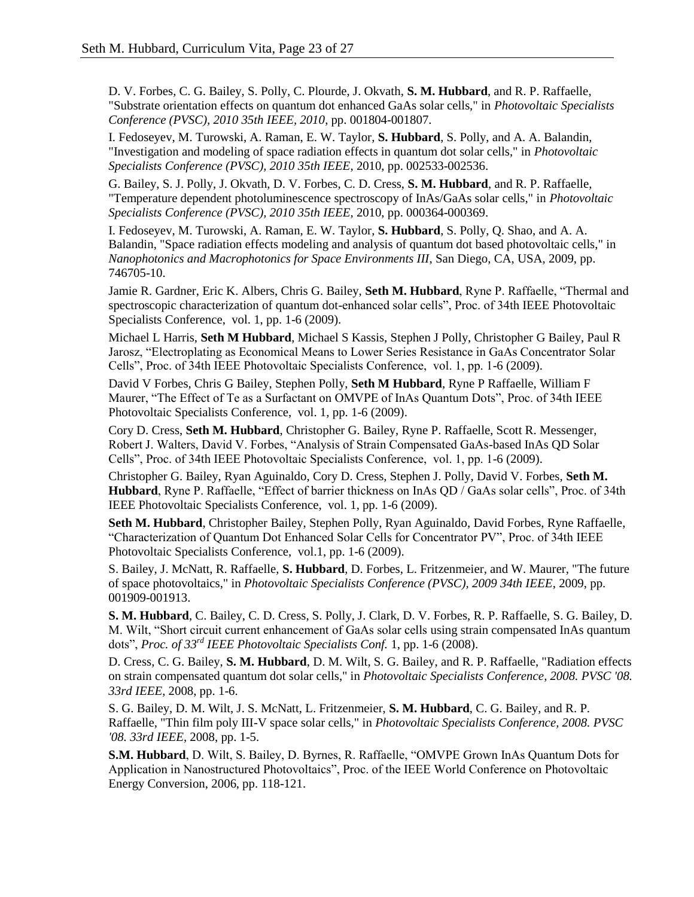D. V. Forbes, C. G. Bailey, S. Polly, C. Plourde, J. Okvath, **S. M. Hubbard**, and R. P. Raffaelle, "Substrate orientation effects on quantum dot enhanced GaAs solar cells," in *Photovoltaic Specialists Conference (PVSC), 2010 35th IEEE, 2010*, pp. 001804-001807.

I. Fedoseyev, M. Turowski, A. Raman, E. W. Taylor, **S. Hubbard**, S. Polly, and A. A. Balandin, "Investigation and modeling of space radiation effects in quantum dot solar cells," in *Photovoltaic Specialists Conference (PVSC), 2010 35th IEEE*, 2010, pp. 002533-002536.

G. Bailey, S. J. Polly, J. Okvath, D. V. Forbes, C. D. Cress, **S. M. Hubbard**, and R. P. Raffaelle, "Temperature dependent photoluminescence spectroscopy of InAs/GaAs solar cells," in *Photovoltaic Specialists Conference (PVSC), 2010 35th IEEE*, 2010, pp. 000364-000369.

I. Fedoseyev, M. Turowski, A. Raman, E. W. Taylor, **S. Hubbard**, S. Polly, Q. Shao, and A. A. Balandin, "Space radiation effects modeling and analysis of quantum dot based photovoltaic cells," in *Nanophotonics and Macrophotonics for Space Environments III*, San Diego, CA, USA, 2009, pp. 746705-10.

Jamie R. Gardner, Eric K. Albers, Chris G. Bailey, **Seth M. Hubbard**, Ryne P. Raffaelle, "Thermal and spectroscopic characterization of quantum dot-enhanced solar cells", Proc. of 34th IEEE Photovoltaic Specialists Conference, vol. 1, pp. 1-6 (2009).

Michael L Harris, **Seth M Hubbard**, Michael S Kassis, Stephen J Polly, Christopher G Bailey, Paul R Jarosz, "Electroplating as Economical Means to Lower Series Resistance in GaAs Concentrator Solar Cells", Proc. of 34th IEEE Photovoltaic Specialists Conference, vol. 1, pp. 1-6 (2009).

David V Forbes, Chris G Bailey, Stephen Polly, **Seth M Hubbard**, Ryne P Raffaelle, William F Maurer, "The Effect of Te as a Surfactant on OMVPE of InAs Quantum Dots", Proc. of 34th IEEE Photovoltaic Specialists Conference, vol. 1, pp. 1-6 (2009).

Cory D. Cress, **Seth M. Hubbard**, Christopher G. Bailey, Ryne P. Raffaelle, Scott R. Messenger, Robert J. Walters, David V. Forbes, "Analysis of Strain Compensated GaAs-based InAs QD Solar Cells", Proc. of 34th IEEE Photovoltaic Specialists Conference, vol. 1, pp. 1-6 (2009).

Christopher G. Bailey, Ryan Aguinaldo, Cory D. Cress, Stephen J. Polly, David V. Forbes, **Seth M. Hubbard**, Ryne P. Raffaelle, "Effect of barrier thickness on InAs QD / GaAs solar cells", Proc. of 34th IEEE Photovoltaic Specialists Conference, vol. 1, pp. 1-6 (2009).

**Seth M. Hubbard**, Christopher Bailey, Stephen Polly, Ryan Aguinaldo, David Forbes, Ryne Raffaelle, "Characterization of Quantum Dot Enhanced Solar Cells for Concentrator PV", Proc. of 34th IEEE Photovoltaic Specialists Conference, vol.1, pp. 1-6 (2009).

S. Bailey, J. McNatt, R. Raffaelle, **S. Hubbard**, D. Forbes, L. Fritzenmeier, and W. Maurer, "The future of space photovoltaics," in *Photovoltaic Specialists Conference (PVSC), 2009 34th IEEE*, 2009, pp. 001909-001913.

**S. M. Hubbard**, C. Bailey, C. D. Cress, S. Polly, J. Clark, D. V. Forbes, R. P. Raffaelle, S. G. Bailey, D. M. Wilt, "Short circuit current enhancement of GaAs solar cells using strain compensated InAs quantum dots", *Proc. of 33rd IEEE Photovoltaic Specialists Conf.* 1, pp. 1-6 (2008).

D. Cress, C. G. Bailey, **S. M. Hubbard**, D. M. Wilt, S. G. Bailey, and R. P. Raffaelle, "Radiation effects on strain compensated quantum dot solar cells," in *Photovoltaic Specialists Conference, 2008. PVSC '08. 33rd IEEE*, 2008, pp. 1-6.

S. G. Bailey, D. M. Wilt, J. S. McNatt, L. Fritzenmeier, **S. M. Hubbard**, C. G. Bailey, and R. P. Raffaelle, "Thin film poly III-V space solar cells," in *Photovoltaic Specialists Conference, 2008. PVSC '08. 33rd IEEE*, 2008, pp. 1-5.

**S.M. Hubbard**, D. Wilt, S. Bailey, D. Byrnes, R. Raffaelle, "OMVPE Grown InAs Quantum Dots for Application in Nanostructured Photovoltaics", Proc. of the IEEE World Conference on Photovoltaic Energy Conversion, 2006, pp. 118-121.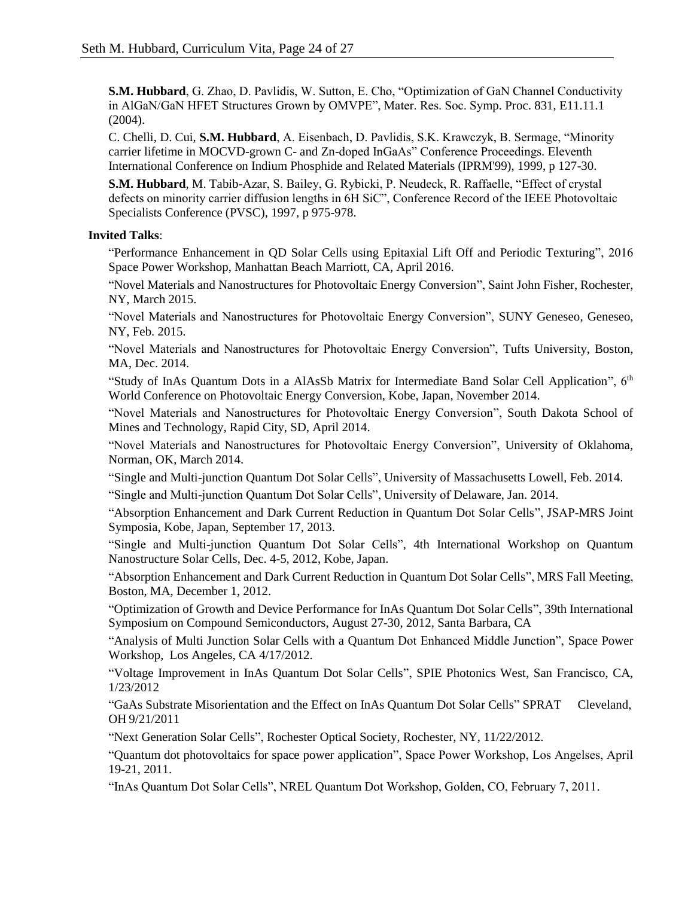**S.M. Hubbard**, G. Zhao, D. Pavlidis, W. Sutton, E. Cho, "Optimization of GaN Channel Conductivity in AlGaN/GaN HFET Structures Grown by OMVPE", Mater. Res. Soc. Symp. Proc. 831, E11.11.1 (2004).

C. Chelli, D. Cui, **S.M. Hubbard**, A. Eisenbach, D. Pavlidis, S.K. Krawczyk, B. Sermage, "Minority carrier lifetime in MOCVD-grown C- and Zn-doped InGaAs" Conference Proceedings. Eleventh International Conference on Indium Phosphide and Related Materials (IPRM'99), 1999, p 127-30.

**S.M. Hubbard**, M. Tabib-Azar, S. Bailey, G. Rybicki, P. Neudeck, R. Raffaelle, "Effect of crystal defects on minority carrier diffusion lengths in 6H SiC", Conference Record of the IEEE Photovoltaic Specialists Conference (PVSC), 1997, p 975-978.

### **Invited Talks**:

"Performance Enhancement in QD Solar Cells using Epitaxial Lift Off and Periodic Texturing", 2016 Space Power Workshop, Manhattan Beach Marriott, CA, April 2016.

"Novel Materials and Nanostructures for Photovoltaic Energy Conversion", Saint John Fisher, Rochester, NY, March 2015.

"Novel Materials and Nanostructures for Photovoltaic Energy Conversion", SUNY Geneseo, Geneseo, NY, Feb. 2015.

"Novel Materials and Nanostructures for Photovoltaic Energy Conversion", Tufts University, Boston, MA, Dec. 2014.

"Study of InAs Quantum Dots in a AlAsSb Matrix for Intermediate Band Solar Cell Application",  $6<sup>th</sup>$ World Conference on Photovoltaic Energy Conversion, Kobe, Japan, November 2014.

"Novel Materials and Nanostructures for Photovoltaic Energy Conversion", South Dakota School of Mines and Technology, Rapid City, SD, April 2014.

"Novel Materials and Nanostructures for Photovoltaic Energy Conversion", University of Oklahoma, Norman, OK, March 2014.

"Single and Multi-junction Quantum Dot Solar Cells", University of Massachusetts Lowell, Feb. 2014.

"Single and Multi-junction Quantum Dot Solar Cells", University of Delaware, Jan. 2014.

"Absorption Enhancement and Dark Current Reduction in Quantum Dot Solar Cells", JSAP-MRS Joint Symposia, Kobe, Japan, September 17, 2013.

"Single and Multi-junction Quantum Dot Solar Cells", 4th International Workshop on Quantum Nanostructure Solar Cells, Dec. 4-5, 2012, Kobe, Japan.

"Absorption Enhancement and Dark Current Reduction in Quantum Dot Solar Cells", MRS Fall Meeting, Boston, MA, December 1, 2012.

"Optimization of Growth and Device Performance for InAs Quantum Dot Solar Cells", 39th International Symposium on Compound Semiconductors, August 27-30, 2012, Santa Barbara, CA

"Analysis of Multi Junction Solar Cells with a Quantum Dot Enhanced Middle Junction", Space Power Workshop, Los Angeles, CA 4/17/2012.

"Voltage Improvement in InAs Quantum Dot Solar Cells", SPIE Photonics West, San Francisco, CA, 1/23/2012

"GaAs Substrate Misorientation and the Effect on InAs Quantum Dot Solar Cells" SPRAT Cleveland, OH 9/21/2011

"Next Generation Solar Cells", Rochester Optical Society, Rochester, NY, 11/22/2012.

"Quantum dot photovoltaics for space power application", Space Power Workshop, Los Angelses, April 19-21, 2011.

"InAs Quantum Dot Solar Cells", NREL Quantum Dot Workshop, Golden, CO, February 7, 2011.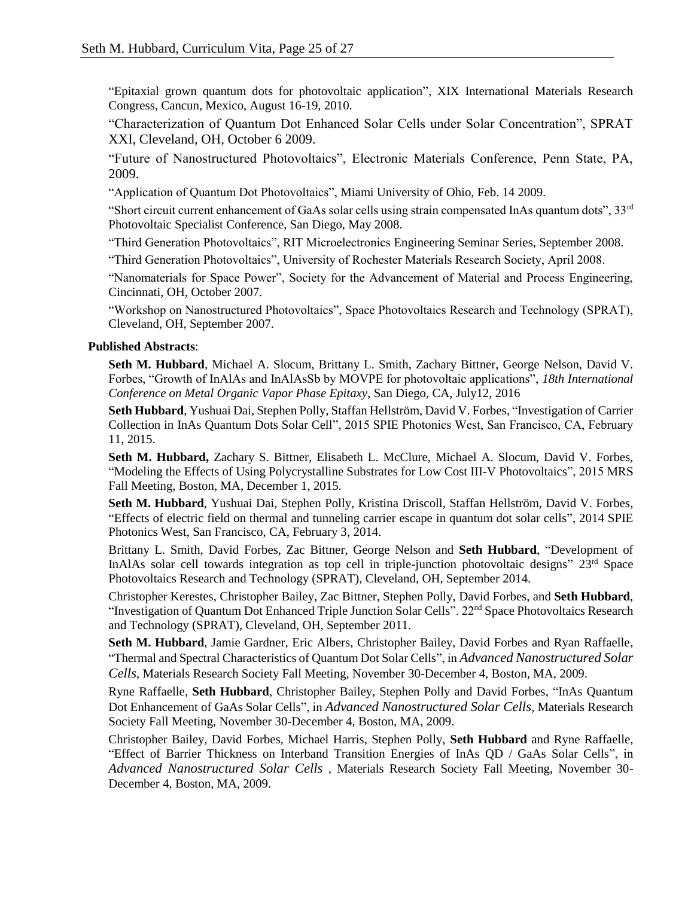"Epitaxial grown quantum dots for photovoltaic application", XIX International Materials Research Congress, Cancun, Mexico, August 16-19, 2010.

"Characterization of Quantum Dot Enhanced Solar Cells under Solar Concentration", SPRAT XXI, Cleveland, OH, October 6 2009.

"Future of Nanostructured Photovoltaics", Electronic Materials Conference, Penn State, PA, 2009.

"Application of Quantum Dot Photovoltaics", Miami University of Ohio, Feb. 14 2009.

"Short circuit current enhancement of GaAs solar cells using strain compensated InAs quantum dots",  $33<sup>rd</sup>$ Photovoltaic Specialist Conference, San Diego, May 2008.

"Third Generation Photovoltaics", RIT Microelectronics Engineering Seminar Series, September 2008.

"Third Generation Photovoltaics", University of Rochester Materials Research Society, April 2008.

"Nanomaterials for Space Power", Society for the Advancement of Material and Process Engineering, Cincinnati, OH, October 2007.

"Workshop on Nanostructured Photovoltaics", Space Photovoltaics Research and Technology (SPRAT), Cleveland, OH, September 2007.

### **Published Abstracts**:

**Seth M. Hubbard**, Michael A. Slocum, Brittany L. Smith, Zachary Bittner, George Nelson, David V. Forbes, "Growth of InAlAs and InAlAsSb by MOVPE for photovoltaic applications", *18th International Conference on Metal Organic Vapor Phase Epitaxy*, San Diego, CA, July12, 2016

**Seth Hubbard**, Yushuai Dai, Stephen Polly, Staffan Hellström, David V. Forbes, "Investigation of Carrier Collection in InAs Quantum Dots Solar Cell", 2015 SPIE Photonics West, San Francisco, CA, February 11, 2015.

**Seth M. Hubbard,** Zachary S. Bittner, Elisabeth L. McClure, Michael A. Slocum, David V. Forbes, "Modeling the Effects of Using Polycrystalline Substrates for Low Cost III-V Photovoltaics", 2015 MRS Fall Meeting, Boston, MA, December 1, 2015.

**Seth M. Hubbard**, Yushuai Dai, Stephen Polly, Kristina Driscoll, Staffan Hellström, David V. Forbes, "Effects of electric field on thermal and tunneling carrier escape in quantum dot solar cells", 2014 SPIE Photonics West, San Francisco, CA, February 3, 2014.

Brittany L. Smith, David Forbes, Zac Bittner, George Nelson and **Seth Hubbard**, "Development of InAlAs solar cell towards integration as top cell in triple-junction photovoltaic designs" 23rd Space Photovoltaics Research and Technology (SPRAT), Cleveland, OH, September 2014.

Christopher Kerestes, Christopher Bailey, Zac Bittner, Stephen Polly, David Forbes, and **Seth Hubbard**, "Investigation of Quantum Dot Enhanced Triple Junction Solar Cells". 22<sup>nd</sup> Space Photovoltaics Research and Technology (SPRAT), Cleveland, OH, September 2011.

**Seth M. Hubbard**, Jamie Gardner, Eric Albers, Christopher Bailey, David Forbes and Ryan Raffaelle, "Thermal and Spectral Characteristics of Quantum Dot Solar Cells", in *Advanced Nanostructured Solar Cells*, Materials Research Society Fall Meeting, November 30-December 4, Boston, MA, 2009.

Ryne Raffaelle, **Seth Hubbard**, Christopher Bailey, Stephen Polly and David Forbes, "InAs Quantum Dot Enhancement of GaAs Solar Cells", in *Advanced Nanostructured Solar Cells*, Materials Research Society Fall Meeting, November 30-December 4, Boston, MA, 2009.

Christopher Bailey, David Forbes, Michael Harris, Stephen Polly, **Seth Hubbard** and Ryne Raffaelle, "Effect of Barrier Thickness on Interband Transition Energies of InAs QD / GaAs Solar Cells", in *Advanced Nanostructured Solar Cells* , Materials Research Society Fall Meeting, November 30- December 4, Boston, MA, 2009.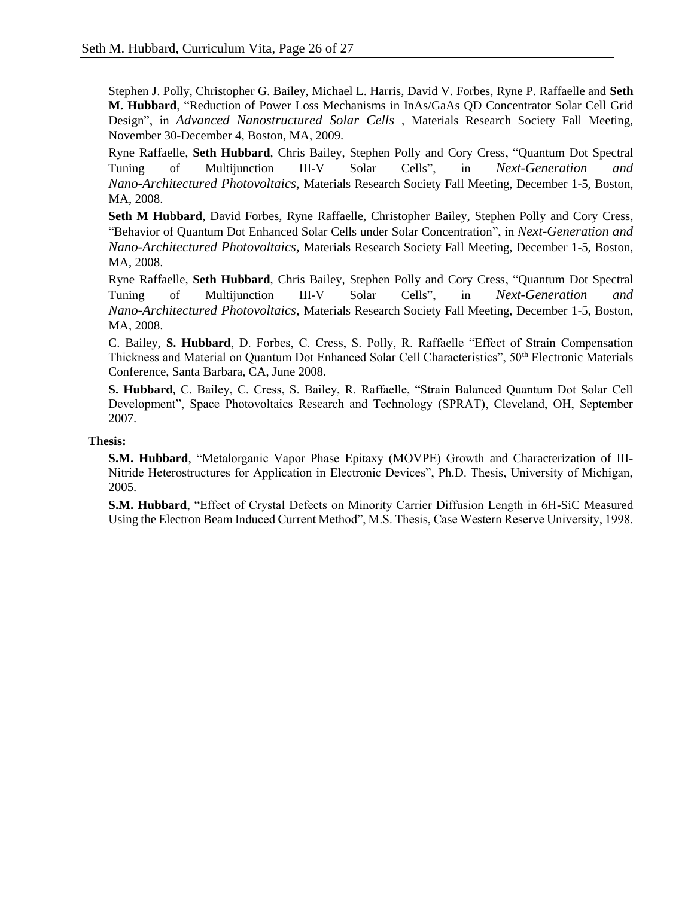Stephen J. Polly, Christopher G. Bailey, Michael L. Harris, David V. Forbes, Ryne P. Raffaelle and **Seth M. Hubbard**, "Reduction of Power Loss Mechanisms in InAs/GaAs QD Concentrator Solar Cell Grid Design", in *Advanced Nanostructured Solar Cells* , Materials Research Society Fall Meeting, November 30-December 4, Boston, MA, 2009.

Ryne Raffaelle, **Seth Hubbard**, Chris Bailey, Stephen Polly and Cory Cress, "Quantum Dot Spectral Tuning of Multijunction III-V Solar Cells", in *Next-Generation and Nano-Architectured Photovoltaics,* Materials Research Society Fall Meeting, December 1-5, Boston, MA, 2008.

**Seth M Hubbard**, David Forbes, Ryne Raffaelle, Christopher Bailey, Stephen Polly and Cory Cress, "Behavior of Quantum Dot Enhanced Solar Cells under Solar Concentration", in *Next-Generation and Nano-Architectured Photovoltaics,* Materials Research Society Fall Meeting, December 1-5, Boston, MA, 2008.

Ryne Raffaelle, **Seth Hubbard**, Chris Bailey, Stephen Polly and Cory Cress, "Quantum Dot Spectral Tuning of Multijunction III-V Solar Cells", in *Next-Generation and Nano-Architectured Photovoltaics,* Materials Research Society Fall Meeting, December 1-5, Boston, MA, 2008.

C. Bailey, **S. Hubbard**, D. Forbes, C. Cress, S. Polly, R. Raffaelle "Effect of Strain Compensation Thickness and Material on Quantum Dot Enhanced Solar Cell Characteristics", 50<sup>th</sup> Electronic Materials Conference, Santa Barbara, CA, June 2008.

**S. Hubbard**, C. Bailey, C. Cress, S. Bailey, R. Raffaelle, "Strain Balanced Quantum Dot Solar Cell Development", Space Photovoltaics Research and Technology (SPRAT), Cleveland, OH, September 2007.

# **Thesis:**

**S.M. Hubbard**, "Metalorganic Vapor Phase Epitaxy (MOVPE) Growth and Characterization of III-Nitride Heterostructures for Application in Electronic Devices", Ph.D. Thesis, University of Michigan, 2005.

**S.M. Hubbard**, "Effect of Crystal Defects on Minority Carrier Diffusion Length in 6H-SiC Measured Using the Electron Beam Induced Current Method", M.S. Thesis, Case Western Reserve University, 1998.